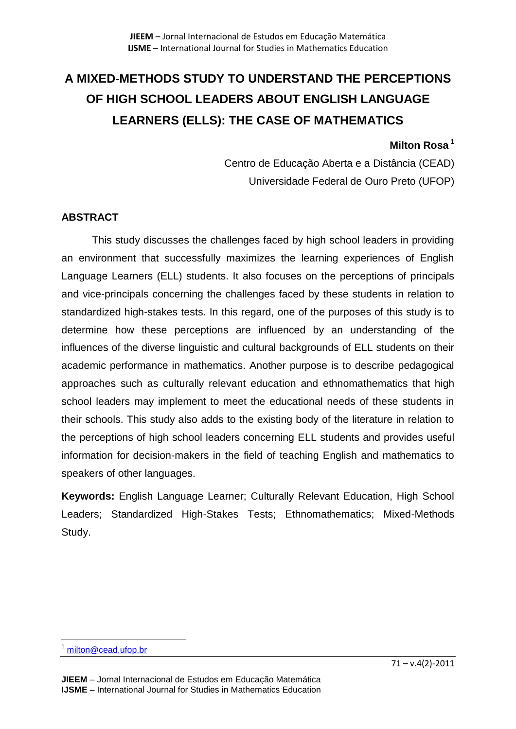# **A MIXED-METHODS STUDY TO UNDERSTAND THE PERCEPTIONS OF HIGH SCHOOL LEADERS ABOUT ENGLISH LANGUAGE LEARNERS (ELLS): THE CASE OF MATHEMATICS**

## **Milton Rosa <sup>1</sup>**

Centro de Educação Aberta e a Distância (CEAD) Universidade Federal de Ouro Preto (UFOP)

## **ABSTRACT**

This study discusses the challenges faced by high school leaders in providing an environment that successfully maximizes the learning experiences of English Language Learners (ELL) students. It also focuses on the perceptions of principals and vice-principals concerning the challenges faced by these students in relation to standardized high-stakes tests. In this regard, one of the purposes of this study is to determine how these perceptions are influenced by an understanding of the influences of the diverse linguistic and cultural backgrounds of ELL students on their academic performance in mathematics. Another purpose is to describe pedagogical approaches such as culturally relevant education and ethnomathematics that high school leaders may implement to meet the educational needs of these students in their schools. This study also adds to the existing body of the literature in relation to the perceptions of high school leaders concerning ELL students and provides useful information for decision-makers in the field of teaching English and mathematics to speakers of other languages.

**Keywords:** English Language Learner; Culturally Relevant Education, High School Leaders; Standardized High-Stakes Tests; Ethnomathematics; Mixed-Methods Study.

 $\overline{a}$ <sup>1</sup> [milton@cead.ufop.br](mailto:milton@cead.ufop.br)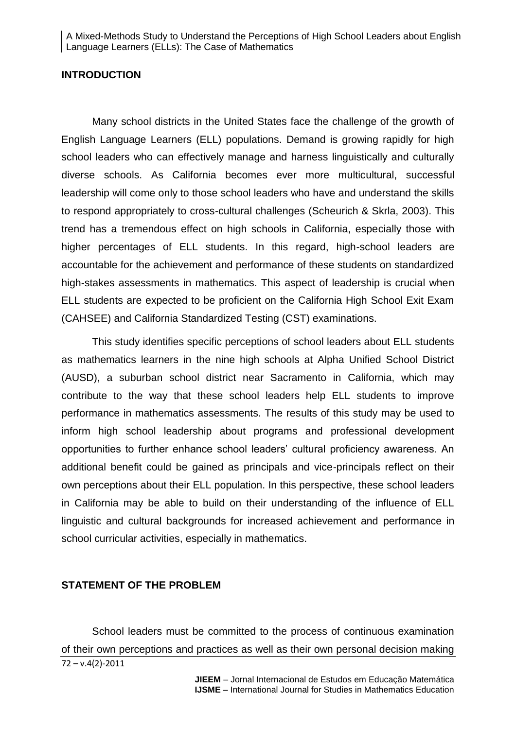#### **INTRODUCTION**

Many school districts in the United States face the challenge of the growth of English Language Learners (ELL) populations. Demand is growing rapidly for high school leaders who can effectively manage and harness linguistically and culturally diverse schools. As California becomes ever more multicultural, successful leadership will come only to those school leaders who have and understand the skills to respond appropriately to cross-cultural challenges (Scheurich & Skrla, 2003). This trend has a tremendous effect on high schools in California, especially those with higher percentages of ELL students. In this regard, high-school leaders are accountable for the achievement and performance of these students on standardized high-stakes assessments in mathematics. This aspect of leadership is crucial when ELL students are expected to be proficient on the California High School Exit Exam (CAHSEE) and California Standardized Testing (CST) examinations.

This study identifies specific perceptions of school leaders about ELL students as mathematics learners in the nine high schools at Alpha Unified School District (AUSD), a suburban school district near Sacramento in California, which may contribute to the way that these school leaders help ELL students to improve performance in mathematics assessments. The results of this study may be used to inform high school leadership about programs and professional development opportunities to further enhance school leaders' cultural proficiency awareness. An additional benefit could be gained as principals and vice-principals reflect on their own perceptions about their ELL population. In this perspective, these school leaders in California may be able to build on their understanding of the influence of ELL linguistic and cultural backgrounds for increased achievement and performance in school curricular activities, especially in mathematics.

#### **STATEMENT OF THE PROBLEM**

72 – v.4(2)-2011 School leaders must be committed to the process of continuous examination of their own perceptions and practices as well as their own personal decision making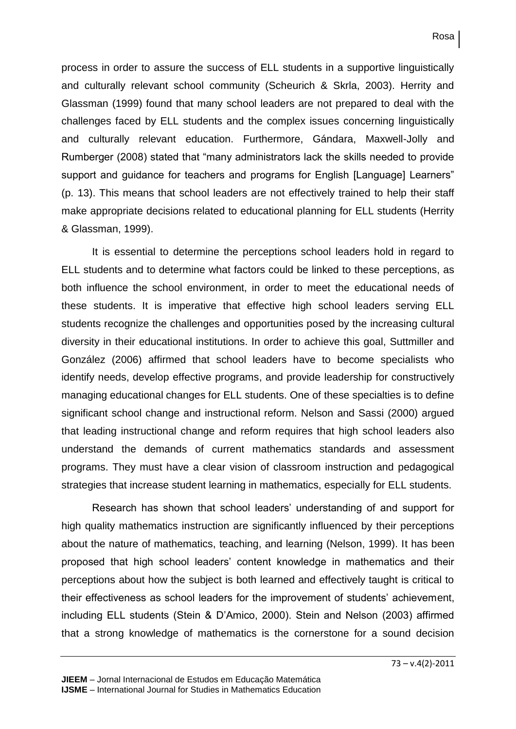process in order to assure the success of ELL students in a supportive linguistically and culturally relevant school community (Scheurich & Skrla, 2003). Herrity and Glassman (1999) found that many school leaders are not prepared to deal with the challenges faced by ELL students and the complex issues concerning linguistically and culturally relevant education. Furthermore, Gándara, Maxwell-Jolly and Rumberger (2008) stated that "many administrators lack the skills needed to provide support and guidance for teachers and programs for English [Language] Learners" (p. 13). This means that school leaders are not effectively trained to help their staff make appropriate decisions related to educational planning for ELL students (Herrity & Glassman, 1999).

It is essential to determine the perceptions school leaders hold in regard to ELL students and to determine what factors could be linked to these perceptions, as both influence the school environment, in order to meet the educational needs of these students. It is imperative that effective high school leaders serving ELL students recognize the challenges and opportunities posed by the increasing cultural diversity in their educational institutions. In order to achieve this goal, Suttmiller and González (2006) affirmed that school leaders have to become specialists who identify needs, develop effective programs, and provide leadership for constructively managing educational changes for ELL students. One of these specialties is to define significant school change and instructional reform. Nelson and Sassi (2000) argued that leading instructional change and reform requires that high school leaders also understand the demands of current mathematics standards and assessment programs. They must have a clear vision of classroom instruction and pedagogical strategies that increase student learning in mathematics, especially for ELL students.

Research has shown that school leaders' understanding of and support for high quality mathematics instruction are significantly influenced by their perceptions about the nature of mathematics, teaching, and learning (Nelson, 1999). It has been proposed that high school leaders' content knowledge in mathematics and their perceptions about how the subject is both learned and effectively taught is critical to their effectiveness as school leaders for the improvement of students' achievement, including ELL students (Stein & D'Amico, 2000). Stein and Nelson (2003) affirmed that a strong knowledge of mathematics is the cornerstone for a sound decision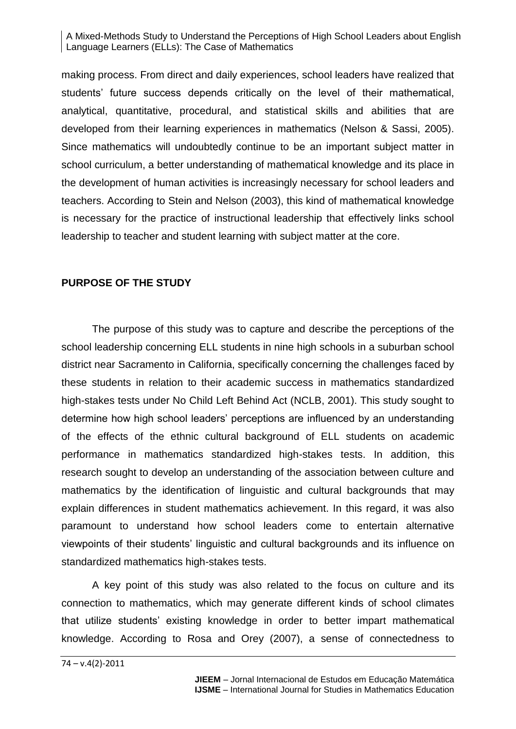making process. From direct and daily experiences, school leaders have realized that students' future success depends critically on the level of their mathematical, analytical, quantitative, procedural, and statistical skills and abilities that are developed from their learning experiences in mathematics (Nelson & Sassi, 2005). Since mathematics will undoubtedly continue to be an important subject matter in school curriculum, a better understanding of mathematical knowledge and its place in the development of human activities is increasingly necessary for school leaders and teachers. According to Stein and Nelson (2003), this kind of mathematical knowledge is necessary for the practice of instructional leadership that effectively links school leadership to teacher and student learning with subject matter at the core.

## **PURPOSE OF THE STUDY**

The purpose of this study was to capture and describe the perceptions of the school leadership concerning ELL students in nine high schools in a suburban school district near Sacramento in California, specifically concerning the challenges faced by these students in relation to their academic success in mathematics standardized high-stakes tests under No Child Left Behind Act (NCLB, 2001). This study sought to determine how high school leaders' perceptions are influenced by an understanding of the effects of the ethnic cultural background of ELL students on academic performance in mathematics standardized high-stakes tests. In addition, this research sought to develop an understanding of the association between culture and mathematics by the identification of linguistic and cultural backgrounds that may explain differences in student mathematics achievement. In this regard, it was also paramount to understand how school leaders come to entertain alternative viewpoints of their students' linguistic and cultural backgrounds and its influence on standardized mathematics high-stakes tests.

A key point of this study was also related to the focus on culture and its connection to mathematics, which may generate different kinds of school climates that utilize students' existing knowledge in order to better impart mathematical knowledge. According to Rosa and Orey (2007), a sense of connectedness to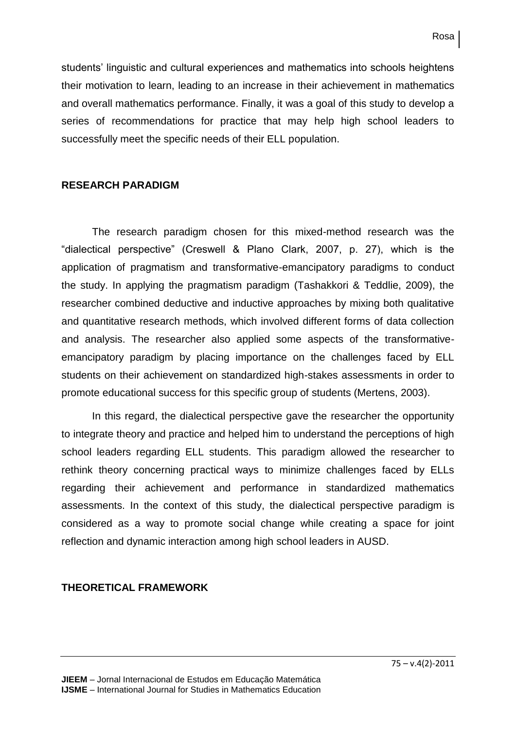students' linguistic and cultural experiences and mathematics into schools heightens their motivation to learn, leading to an increase in their achievement in mathematics and overall mathematics performance. Finally, it was a goal of this study to develop a series of recommendations for practice that may help high school leaders to successfully meet the specific needs of their ELL population.

## **RESEARCH PARADIGM**

The research paradigm chosen for this mixed-method research was the "dialectical perspective" (Creswell & Plano Clark, 2007, p. 27), which is the application of pragmatism and transformative-emancipatory paradigms to conduct the study. In applying the pragmatism paradigm (Tashakkori & Teddlie, 2009), the researcher combined deductive and inductive approaches by mixing both qualitative and quantitative research methods, which involved different forms of data collection and analysis. The researcher also applied some aspects of the transformativeemancipatory paradigm by placing importance on the challenges faced by ELL students on their achievement on standardized high-stakes assessments in order to promote educational success for this specific group of students (Mertens, 2003).

In this regard, the dialectical perspective gave the researcher the opportunity to integrate theory and practice and helped him to understand the perceptions of high school leaders regarding ELL students. This paradigm allowed the researcher to rethink theory concerning practical ways to minimize challenges faced by ELLs regarding their achievement and performance in standardized mathematics assessments. In the context of this study, the dialectical perspective paradigm is considered as a way to promote social change while creating a space for joint reflection and dynamic interaction among high school leaders in AUSD.

## **THEORETICAL FRAMEWORK**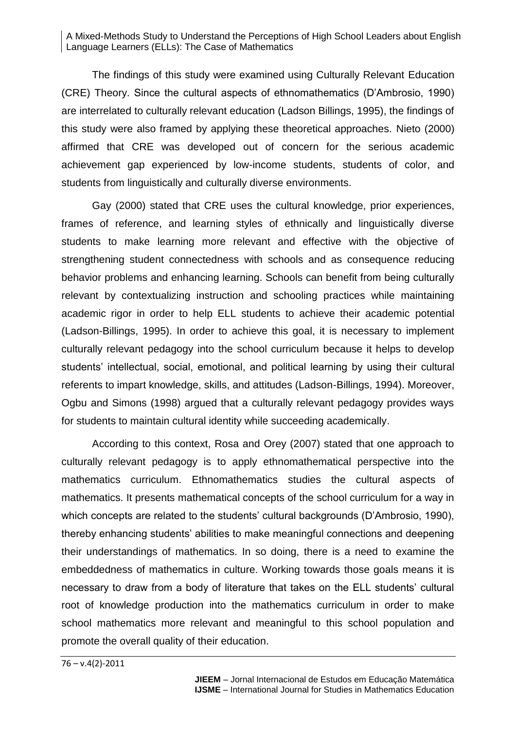The findings of this study were examined using Culturally Relevant Education (CRE) Theory. Since the cultural aspects of ethnomathematics (D'Ambrosio, 1990) are interrelated to culturally relevant education (Ladson Billings, 1995), the findings of this study were also framed by applying these theoretical approaches. Nieto (2000) affirmed that CRE was developed out of concern for the serious academic achievement gap experienced by low-income students, students of color, and students from linguistically and culturally diverse environments.

Gay (2000) stated that CRE uses the cultural knowledge, prior experiences, frames of reference, and learning styles of ethnically and linguistically diverse students to make learning more relevant and effective with the objective of strengthening student connectedness with schools and as consequence reducing behavior problems and enhancing learning. Schools can benefit from being culturally relevant by contextualizing instruction and schooling practices while maintaining academic rigor in order to help ELL students to achieve their academic potential (Ladson-Billings, 1995). In order to achieve this goal, it is necessary to implement culturally relevant pedagogy into the school curriculum because it helps to develop students' intellectual, social, emotional, and political learning by using their cultural referents to impart knowledge, skills, and attitudes (Ladson-Billings, 1994). Moreover, Ogbu and Simons (1998) argued that a culturally relevant pedagogy provides ways for students to maintain cultural identity while succeeding academically.

According to this context, Rosa and Orey (2007) stated that one approach to culturally relevant pedagogy is to apply ethnomathematical perspective into the mathematics curriculum. Ethnomathematics studies the cultural aspects of mathematics. It presents mathematical concepts of the school curriculum for a way in which concepts are related to the students' cultural backgrounds (D'Ambrosio, 1990), thereby enhancing students' abilities to make meaningful connections and deepening their understandings of mathematics. In so doing, there is a need to examine the embeddedness of mathematics in culture. Working towards those goals means it is necessary to draw from a body of literature that takes on the ELL students' cultural root of knowledge production into the mathematics curriculum in order to make school mathematics more relevant and meaningful to this school population and promote the overall quality of their education.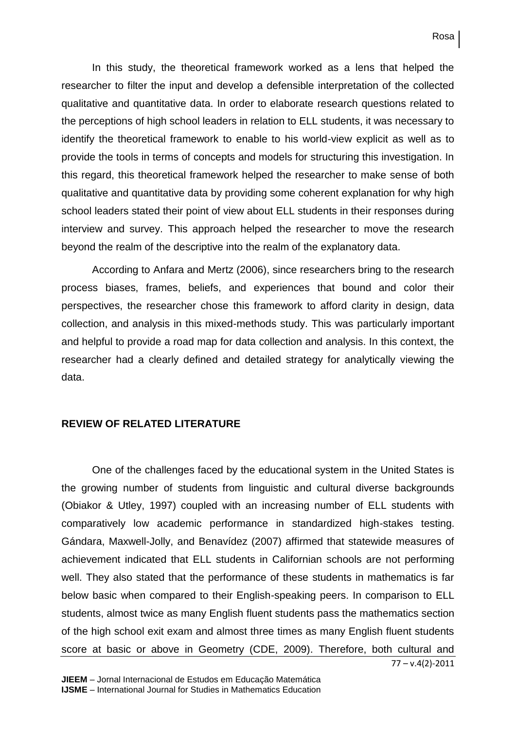In this study, the theoretical framework worked as a lens that helped the researcher to filter the input and develop a defensible interpretation of the collected qualitative and quantitative data. In order to elaborate research questions related to the perceptions of high school leaders in relation to ELL students, it was necessary to identify the theoretical framework to enable to his world-view explicit as well as to provide the tools in terms of concepts and models for structuring this investigation. In this regard, this theoretical framework helped the researcher to make sense of both qualitative and quantitative data by providing some coherent explanation for why high school leaders stated their point of view about ELL students in their responses during interview and survey. This approach helped the researcher to move the research beyond the realm of the descriptive into the realm of the explanatory data.

According to Anfara and Mertz (2006), since researchers bring to the research process biases, frames, beliefs, and experiences that bound and color their perspectives, the researcher chose this framework to afford clarity in design, data collection, and analysis in this mixed-methods study. This was particularly important and helpful to provide a road map for data collection and analysis. In this context, the researcher had a clearly defined and detailed strategy for analytically viewing the data.

## **REVIEW OF RELATED LITERATURE**

One of the challenges faced by the educational system in the United States is the growing number of students from linguistic and cultural diverse backgrounds (Obiakor & Utley, 1997) coupled with an increasing number of ELL students with comparatively low academic performance in standardized high-stakes testing. Gándara, Maxwell-Jolly, and Benavídez (2007) affirmed that statewide measures of achievement indicated that ELL students in Californian schools are not performing well. They also stated that the performance of these students in mathematics is far below basic when compared to their English-speaking peers. In comparison to ELL students, almost twice as many English fluent students pass the mathematics section of the high school exit exam and almost three times as many English fluent students score at basic or above in Geometry (CDE, 2009). Therefore, both cultural and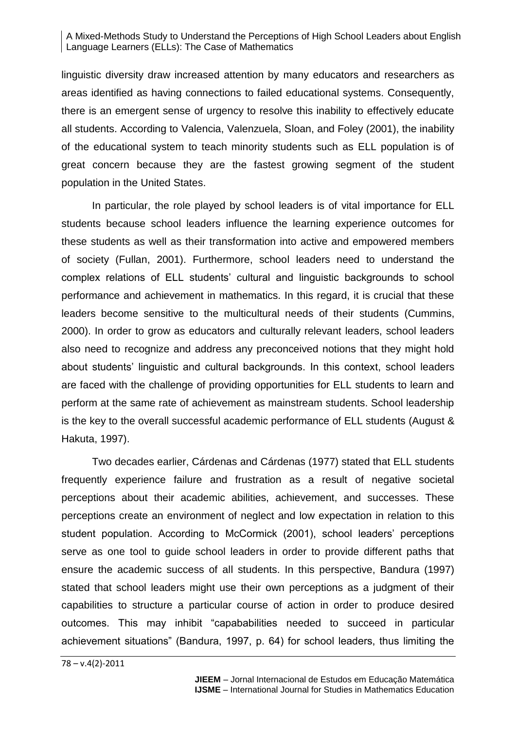linguistic diversity draw increased attention by many educators and researchers as areas identified as having connections to failed educational systems. Consequently, there is an emergent sense of urgency to resolve this inability to effectively educate all students. According to Valencia, Valenzuela, Sloan, and Foley (2001), the inability of the educational system to teach minority students such as ELL population is of great concern because they are the fastest growing segment of the student population in the United States.

In particular, the role played by school leaders is of vital importance for ELL students because school leaders influence the learning experience outcomes for these students as well as their transformation into active and empowered members of society (Fullan, 2001). Furthermore, school leaders need to understand the complex relations of ELL students' cultural and linguistic backgrounds to school performance and achievement in mathematics. In this regard, it is crucial that these leaders become sensitive to the multicultural needs of their students (Cummins, 2000). In order to grow as educators and culturally relevant leaders, school leaders also need to recognize and address any preconceived notions that they might hold about students' linguistic and cultural backgrounds. In this context, school leaders are faced with the challenge of providing opportunities for ELL students to learn and perform at the same rate of achievement as mainstream students. School leadership is the key to the overall successful academic performance of ELL students (August & Hakuta, 1997).

Two decades earlier, Cárdenas and Cárdenas (1977) stated that ELL students frequently experience failure and frustration as a result of negative societal perceptions about their academic abilities, achievement, and successes. These perceptions create an environment of neglect and low expectation in relation to this student population. According to McCormick (2001), school leaders' perceptions serve as one tool to guide school leaders in order to provide different paths that ensure the academic success of all students. In this perspective, Bandura (1997) stated that school leaders might use their own perceptions as a judgment of their capabilities to structure a particular course of action in order to produce desired outcomes. This may inhibit "capababilities needed to succeed in particular achievement situations" (Bandura, 1997, p. 64) for school leaders, thus limiting the

78 – v.4(2)-2011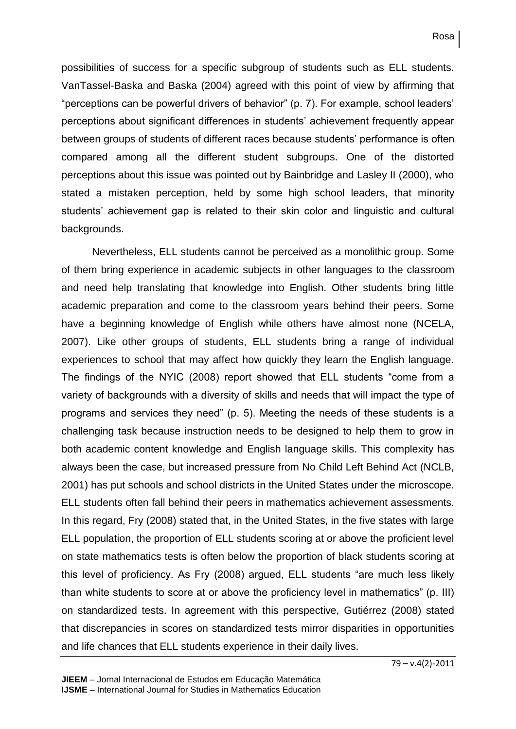possibilities of success for a specific subgroup of students such as ELL students. VanTassel-Baska and Baska (2004) agreed with this point of view by affirming that "perceptions can be powerful drivers of behavior" (p. 7). For example, school leaders' perceptions about significant differences in students' achievement frequently appear between groups of students of different races because students' performance is often compared among all the different student subgroups. One of the distorted perceptions about this issue was pointed out by Bainbridge and Lasley II (2000), who stated a mistaken perception, held by some high school leaders, that minority students' achievement gap is related to their skin color and linguistic and cultural backgrounds.

Nevertheless, ELL students cannot be perceived as a monolithic group. Some of them bring experience in academic subjects in other languages to the classroom and need help translating that knowledge into English. Other students bring little academic preparation and come to the classroom years behind their peers. Some have a beginning knowledge of English while others have almost none (NCELA, 2007). Like other groups of students, ELL students bring a range of individual experiences to school that may affect how quickly they learn the English language. The findings of the NYIC (2008) report showed that ELL students "come from a variety of backgrounds with a diversity of skills and needs that will impact the type of programs and services they need" (p. 5). Meeting the needs of these students is a challenging task because instruction needs to be designed to help them to grow in both academic content knowledge and English language skills. This complexity has always been the case, but increased pressure from No Child Left Behind Act (NCLB, 2001) has put schools and school districts in the United States under the microscope. ELL students often fall behind their peers in mathematics achievement assessments. In this regard, Fry (2008) stated that, in the United States, in the five states with large ELL population, the proportion of ELL students scoring at or above the proficient level on state mathematics tests is often below the proportion of black students scoring at this level of proficiency. As Fry (2008) argued, ELL students "are much less likely than white students to score at or above the proficiency level in mathematics" (p. III) on standardized tests. In agreement with this perspective, Gutiérrez (2008) stated that discrepancies in scores on standardized tests mirror disparities in opportunities and life chances that ELL students experience in their daily lives.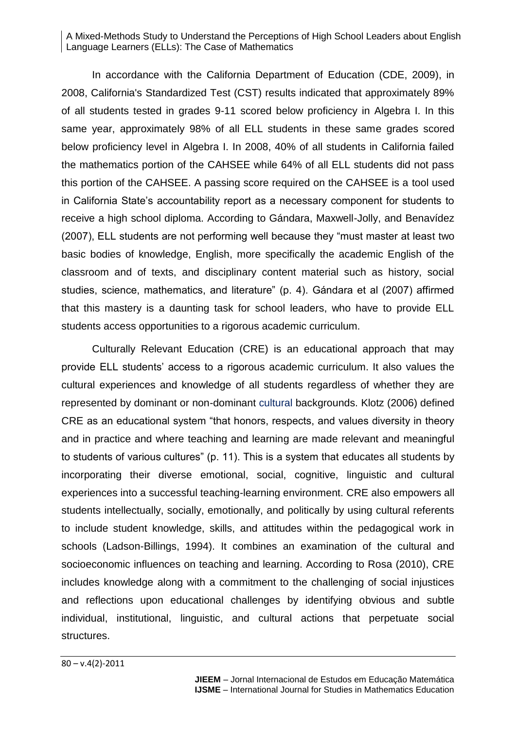In accordance with the California Department of Education (CDE, 2009), in 2008, California's Standardized Test (CST) results indicated that approximately 89% of all students tested in grades 9-11 scored below proficiency in Algebra I. In this same year, approximately 98% of all ELL students in these same grades scored below proficiency level in Algebra I. In 2008, 40% of all students in California failed the mathematics portion of the CAHSEE while 64% of all ELL students did not pass this portion of the CAHSEE. A passing score required on the CAHSEE is a tool used in California State's accountability report as a necessary component for students to receive a high school diploma. According to Gándara, Maxwell-Jolly, and Benavídez (2007), ELL students are not performing well because they "must master at least two basic bodies of knowledge, English, more specifically the academic English of the classroom and of texts, and disciplinary content material such as history, social studies, science, mathematics, and literature" (p. 4). Gándara et al (2007) affirmed that this mastery is a daunting task for school leaders, who have to provide ELL students access opportunities to a rigorous academic curriculum.

Culturally Relevant Education (CRE) is an educational approach that may provide ELL students' access to a rigorous academic curriculum. It also values the cultural experiences and knowledge of all students regardless of whether they are represented by dominant or non-dominant [cultural](https://webmail.saclink.csus.edu/owa/redir.aspx?C=1b779583f3aa494d9a42b07e66499591&URL=http%3a%2f%2fen.wikipedia.org%2fwiki%2fCulture) backgrounds. Klotz (2006) defined CRE as an educational system "that honors, respects, and values diversity in theory and in practice and where teaching and learning are made relevant and meaningful to students of various cultures" (p. 11). This is a system that educates all students by incorporating their diverse emotional, social, cognitive, linguistic and cultural experiences into a successful teaching-learning environment. CRE also empowers all students intellectually, socially, emotionally, and politically by using cultural referents to include student knowledge, skills, and attitudes within the pedagogical work in schools (Ladson-Billings, 1994). It combines an examination of the cultural and socioeconomic influences on teaching and learning. According to Rosa (2010), CRE includes knowledge along with a commitment to the challenging of social injustices and reflections upon educational challenges by identifying obvious and subtle individual, institutional, linguistic, and cultural actions that perpetuate social structures.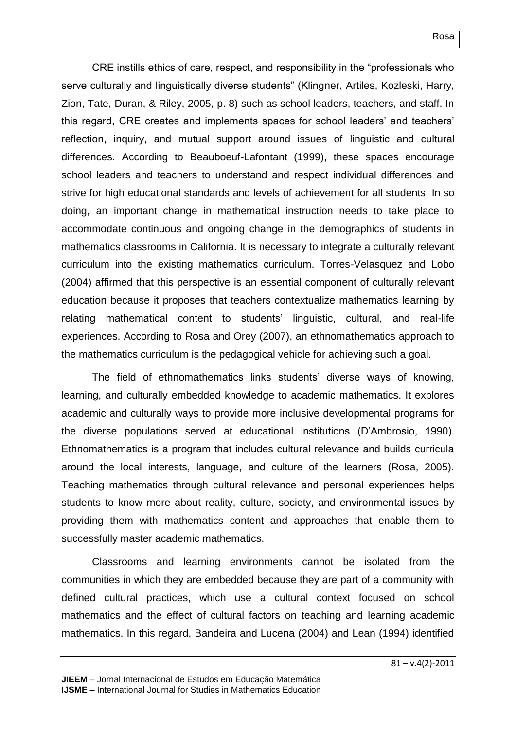CRE instills ethics of care, respect, and responsibility in the "professionals who serve culturally and linguistically diverse students" (Klingner, Artiles, Kozleski, Harry, Zion, Tate, Duran, & Riley, 2005, p. 8) such as school leaders, teachers, and staff. In this regard, CRE creates and implements spaces for school leaders' and teachers' reflection, inquiry, and mutual support around issues of linguistic and cultural differences. According to Beauboeuf-Lafontant (1999), these spaces encourage school leaders and teachers to understand and respect individual differences and strive for high educational standards and levels of achievement for all students. In so doing, an important change in mathematical instruction needs to take place to accommodate continuous and ongoing change in the demographics of students in mathematics classrooms in California. It is necessary to integrate a culturally relevant curriculum into the existing mathematics curriculum. Torres-Velasquez and Lobo (2004) affirmed that this perspective is an essential component of culturally relevant education because it proposes that teachers contextualize mathematics learning by relating mathematical content to students' linguistic, cultural, and real-life experiences. According to Rosa and Orey (2007), an ethnomathematics approach to the mathematics curriculum is the pedagogical vehicle for achieving such a goal.

The field of ethnomathematics links students' diverse ways of knowing, learning, and culturally embedded knowledge to academic mathematics. It explores academic and culturally ways to provide more inclusive developmental programs for the diverse populations served at educational institutions (D'Ambrosio, 1990). Ethnomathematics is a program that includes cultural relevance and builds curricula around the local interests, language, and culture of the learners (Rosa, 2005). Teaching mathematics through cultural relevance and personal experiences helps students to know more about reality, culture, society, and environmental issues by providing them with mathematics content and approaches that enable them to successfully master academic mathematics.

Classrooms and learning environments cannot be isolated from the communities in which they are embedded because they are part of a community with defined cultural practices, which use a cultural context focused on school mathematics and the effect of cultural factors on teaching and learning academic mathematics. In this regard, Bandeira and Lucena (2004) and Lean (1994) identified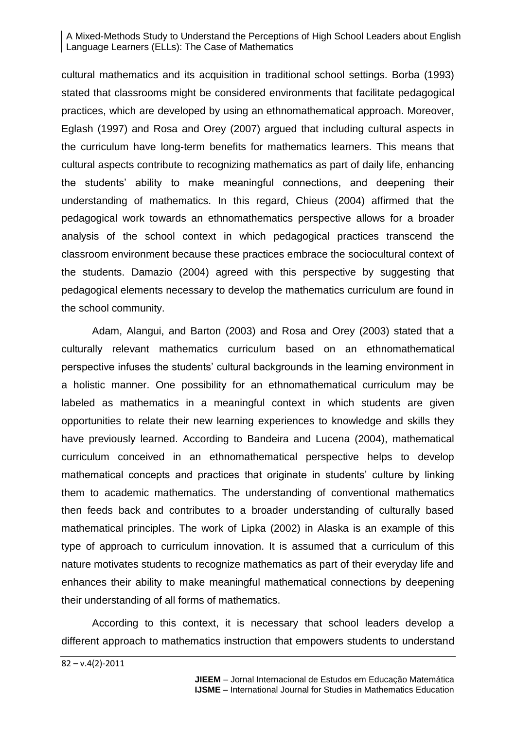cultural mathematics and its acquisition in traditional school settings. Borba (1993) stated that classrooms might be considered environments that facilitate pedagogical practices, which are developed by using an ethnomathematical approach. Moreover, Eglash (1997) and Rosa and Orey (2007) argued that including cultural aspects in the curriculum have long-term benefits for mathematics learners. This means that cultural aspects contribute to recognizing mathematics as part of daily life, enhancing the students' ability to make meaningful connections, and deepening their understanding of mathematics. In this regard, Chieus (2004) affirmed that the pedagogical work towards an ethnomathematics perspective allows for a broader analysis of the school context in which pedagogical practices transcend the classroom environment because these practices embrace the sociocultural context of the students. Damazio (2004) agreed with this perspective by suggesting that pedagogical elements necessary to develop the mathematics curriculum are found in the school community.

Adam, Alangui, and Barton (2003) and Rosa and Orey (2003) stated that a culturally relevant mathematics curriculum based on an ethnomathematical perspective infuses the students' cultural backgrounds in the learning environment in a holistic manner. One possibility for an ethnomathematical curriculum may be labeled as mathematics in a meaningful context in which students are given opportunities to relate their new learning experiences to knowledge and skills they have previously learned. According to Bandeira and Lucena (2004), mathematical curriculum conceived in an ethnomathematical perspective helps to develop mathematical concepts and practices that originate in students' culture by linking them to academic mathematics. The understanding of conventional mathematics then feeds back and contributes to a broader understanding of culturally based mathematical principles. The work of Lipka (2002) in Alaska is an example of this type of approach to curriculum innovation. It is assumed that a curriculum of this nature motivates students to recognize mathematics as part of their everyday life and enhances their ability to make meaningful mathematical connections by deepening their understanding of all forms of mathematics.

According to this context, it is necessary that school leaders develop a different approach to mathematics instruction that empowers students to understand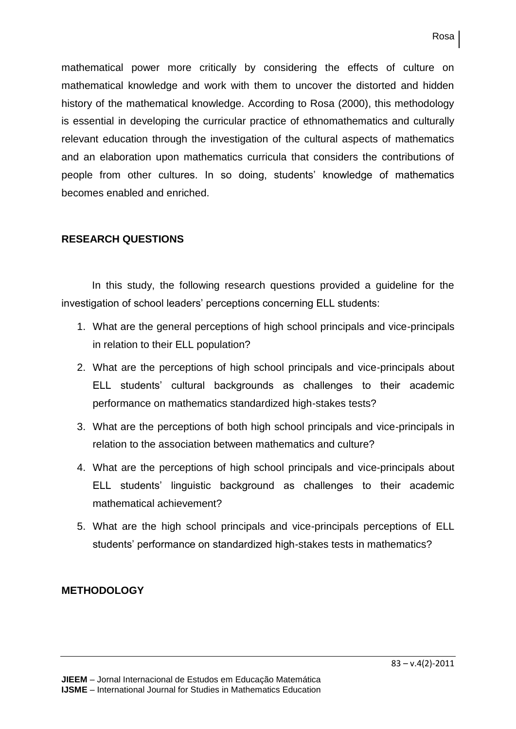mathematical power more critically by considering the effects of culture on mathematical knowledge and work with them to uncover the distorted and hidden history of the mathematical knowledge. According to Rosa (2000), this methodology is essential in developing the curricular practice of ethnomathematics and culturally relevant education through the investigation of the cultural aspects of mathematics and an elaboration upon mathematics curricula that considers the contributions of people from other cultures. In so doing, students' knowledge of mathematics becomes enabled and enriched.

## **RESEARCH QUESTIONS**

In this study, the following research questions provided a guideline for the investigation of school leaders' perceptions concerning ELL students:

- 1. What are the general perceptions of high school principals and vice-principals in relation to their ELL population?
- 2. What are the perceptions of high school principals and vice-principals about ELL students' cultural backgrounds as challenges to their academic performance on mathematics standardized high-stakes tests?
- 3. What are the perceptions of both high school principals and vice-principals in relation to the association between mathematics and culture?
- 4. What are the perceptions of high school principals and vice-principals about ELL students' linguistic background as challenges to their academic mathematical achievement?
- 5. What are the high school principals and vice-principals perceptions of ELL students' performance on standardized high-stakes tests in mathematics?

## **METHODOLOGY**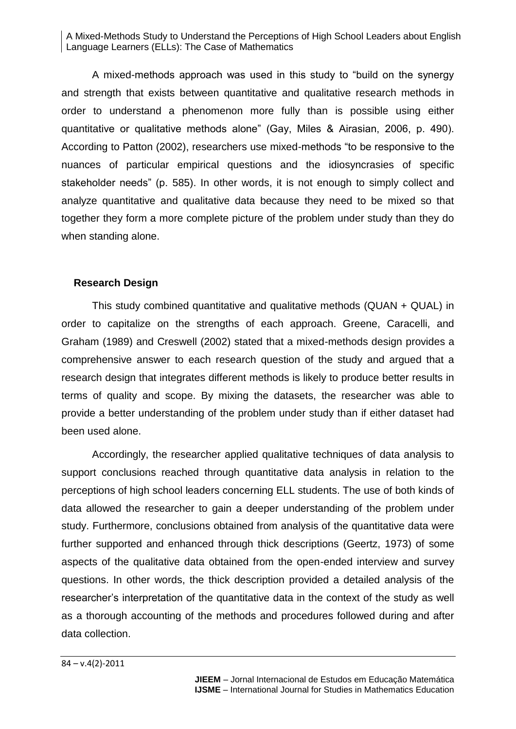A mixed-methods approach was used in this study to "build on the synergy and strength that exists between quantitative and qualitative research methods in order to understand a phenomenon more fully than is possible using either quantitative or qualitative methods alone" (Gay, Miles & Airasian, 2006, p. 490). According to Patton (2002), researchers use mixed-methods "to be responsive to the nuances of particular empirical questions and the idiosyncrasies of specific stakeholder needs" (p. 585). In other words, it is not enough to simply collect and analyze quantitative and qualitative data because they need to be mixed so that together they form a more complete picture of the problem under study than they do when standing alone.

## **Research Design**

This study combined quantitative and qualitative methods (QUAN + QUAL) in order to capitalize on the strengths of each approach. Greene, Caracelli, and Graham (1989) and Creswell (2002) stated that a mixed-methods design provides a comprehensive answer to each research question of the study and argued that a research design that integrates different methods is likely to produce better results in terms of quality and scope. By mixing the datasets, the researcher was able to provide a better understanding of the problem under study than if either dataset had been used alone.

Accordingly, the researcher applied qualitative techniques of data analysis to support conclusions reached through quantitative data analysis in relation to the perceptions of high school leaders concerning ELL students. The use of both kinds of data allowed the researcher to gain a deeper understanding of the problem under study. Furthermore, conclusions obtained from analysis of the quantitative data were further supported and enhanced through thick descriptions (Geertz, 1973) of some aspects of the qualitative data obtained from the open-ended interview and survey questions. In other words, the thick description provided a detailed analysis of the researcher's interpretation of the quantitative data in the context of the study as well as a thorough accounting of the methods and procedures followed during and after data collection.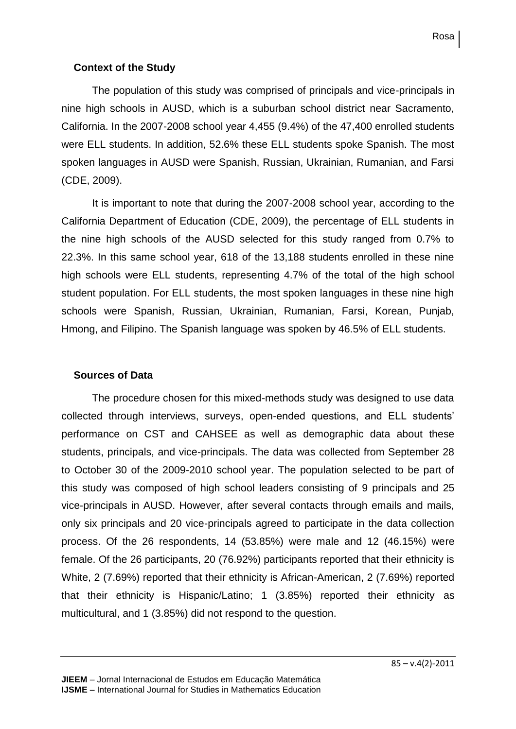## **Context of the Study**

The population of this study was comprised of principals and vice-principals in nine high schools in AUSD, which is a suburban school district near Sacramento, California. In the 2007-2008 school year 4,455 (9.4%) of the 47,400 enrolled students were ELL students. In addition, 52.6% these ELL students spoke Spanish. The most spoken languages in AUSD were Spanish, Russian, Ukrainian, Rumanian, and Farsi (CDE, 2009).

It is important to note that during the 2007-2008 school year, according to the California Department of Education (CDE, 2009), the percentage of ELL students in the nine high schools of the AUSD selected for this study ranged from 0.7% to 22.3%. In this same school year, 618 of the 13,188 students enrolled in these nine high schools were ELL students, representing 4.7% of the total of the high school student population. For ELL students, the most spoken languages in these nine high schools were Spanish, Russian, Ukrainian, Rumanian, Farsi, Korean, Punjab, Hmong, and Filipino. The Spanish language was spoken by 46.5% of ELL students.

## **Sources of Data**

The procedure chosen for this mixed-methods study was designed to use data collected through interviews, surveys, open-ended questions, and ELL students' performance on CST and CAHSEE as well as demographic data about these students, principals, and vice-principals. The data was collected from September 28 to October 30 of the 2009-2010 school year. The population selected to be part of this study was composed of high school leaders consisting of 9 principals and 25 vice-principals in AUSD. However, after several contacts through emails and mails, only six principals and 20 vice-principals agreed to participate in the data collection process. Of the 26 respondents, 14 (53.85%) were male and 12 (46.15%) were female. Of the 26 participants, 20 (76.92%) participants reported that their ethnicity is White, 2 (7.69%) reported that their ethnicity is African-American, 2 (7.69%) reported that their ethnicity is Hispanic/Latino; 1 (3.85%) reported their ethnicity as multicultural, and 1 (3.85%) did not respond to the question.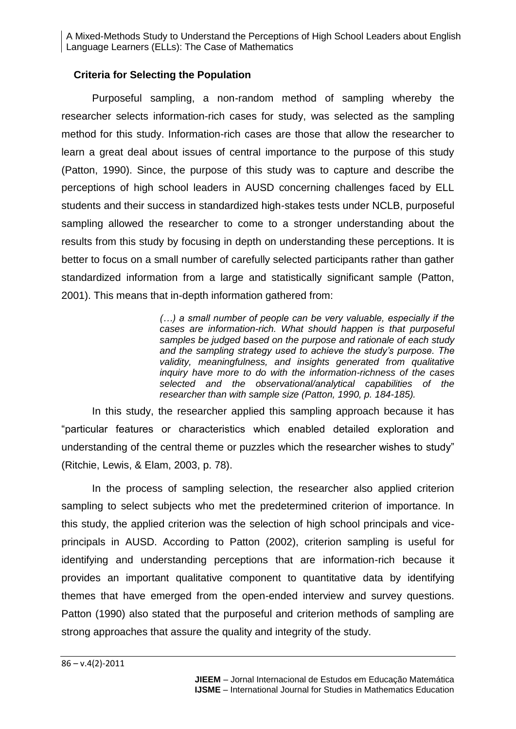## **Criteria for Selecting the Population**

Purposeful sampling, a non-random method of sampling whereby the researcher selects information-rich cases for study, was selected as the sampling method for this study. Information-rich cases are those that allow the researcher to learn a great deal about issues of central importance to the purpose of this study (Patton, 1990). Since, the purpose of this study was to capture and describe the perceptions of high school leaders in AUSD concerning challenges faced by ELL students and their success in standardized high-stakes tests under NCLB, purposeful sampling allowed the researcher to come to a stronger understanding about the results from this study by focusing in depth on understanding these perceptions. It is better to focus on a small number of carefully selected participants rather than gather standardized information from a large and statistically significant sample (Patton, 2001). This means that in-depth information gathered from:

> *(…) a small number of people can be very valuable, especially if the cases are information-rich. What should happen is that purposeful samples be judged based on the purpose and rationale of each study and the sampling strategy used to achieve the study's purpose. The validity, meaningfulness, and insights generated from qualitative inquiry have more to do with the information-richness of the cases selected and the observational/analytical capabilities of the researcher than with sample size (Patton, 1990, p. 184-185).*

In this study, the researcher applied this sampling approach because it has "particular features or characteristics which enabled detailed exploration and understanding of the central theme or puzzles which the researcher wishes to study" (Ritchie, Lewis, & Elam, 2003, p. 78).

In the process of sampling selection, the researcher also applied criterion sampling to select subjects who met the predetermined criterion of importance. In this study, the applied criterion was the selection of high school principals and viceprincipals in AUSD. According to Patton (2002), criterion sampling is useful for identifying and understanding perceptions that are information-rich because it provides an important qualitative component to quantitative data by identifying themes that have emerged from the open-ended interview and survey questions. Patton (1990) also stated that the purposeful and criterion methods of sampling are strong approaches that assure the quality and integrity of the study.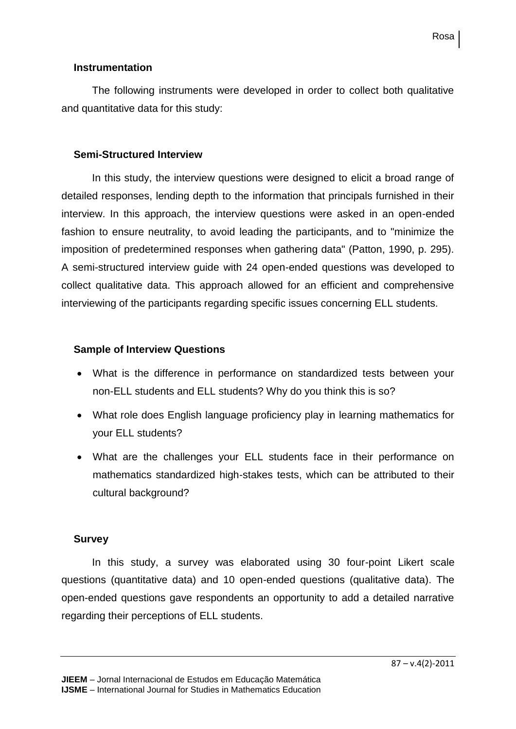## **Instrumentation**

The following instruments were developed in order to collect both qualitative and quantitative data for this study:

## **Semi-Structured Interview**

In this study, the interview questions were designed to elicit a broad range of detailed responses, lending depth to the information that principals furnished in their interview. In this approach, the interview questions were asked in an open-ended fashion to ensure neutrality, to avoid leading the participants, and to "minimize the imposition of predetermined responses when gathering data" (Patton, 1990, p. 295). A semi-structured interview guide with 24 open-ended questions was developed to collect qualitative data. This approach allowed for an efficient and comprehensive interviewing of the participants regarding specific issues concerning ELL students.

## **Sample of Interview Questions**

- What is the difference in performance on standardized tests between your non-ELL students and ELL students? Why do you think this is so?
- What role does English language proficiency play in learning mathematics for your ELL students?
- What are the challenges your ELL students face in their performance on mathematics standardized high-stakes tests, which can be attributed to their cultural background?

## **Survey**

In this study, a survey was elaborated using 30 four-point Likert scale questions (quantitative data) and 10 open-ended questions (qualitative data). The open-ended questions gave respondents an opportunity to add a detailed narrative regarding their perceptions of ELL students.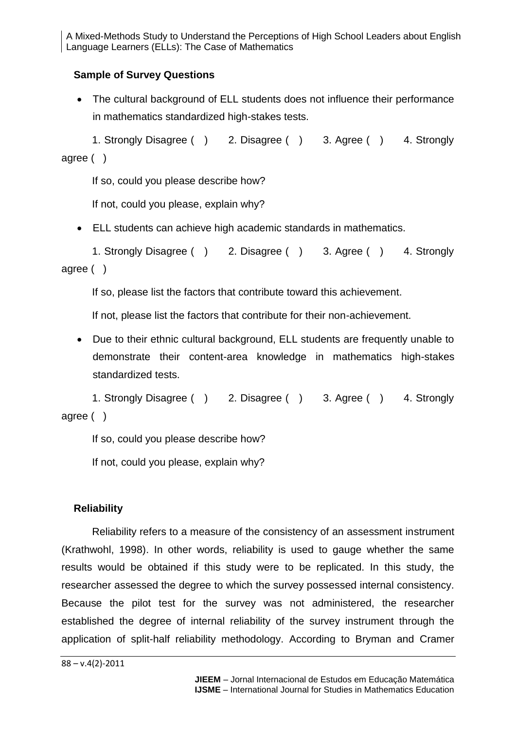## **Sample of Survey Questions**

 The cultural background of ELL students does not influence their performance in mathematics standardized high-stakes tests.

1. Strongly Disagree ( ) 2. Disagree ( ) 3. Agree ( ) 4. Strongly agree ( )

If so, could you please describe how?

If not, could you please, explain why?

ELL students can achieve high academic standards in mathematics.

1. Strongly Disagree ( ) 2. Disagree ( ) 3. Agree ( ) 4. Strongly agree ( )

If so, please list the factors that contribute toward this achievement.

If not, please list the factors that contribute for their non-achievement.

 Due to their ethnic cultural background, ELL students are frequently unable to demonstrate their content-area knowledge in mathematics high-stakes standardized tests.

1. Strongly Disagree ( ) 2. Disagree ( ) 3. Agree ( ) 4. Strongly agree ( )

If so, could you please describe how?

If not, could you please, explain why?

#### **Reliability**

Reliability refers to a measure of the consistency of an assessment instrument (Krathwohl, 1998). In other words, reliability is used to gauge whether the same results would be obtained if this study were to be replicated. In this study, the researcher assessed the degree to which the survey possessed internal consistency. Because the pilot test for the survey was not administered, the researcher established the degree of internal reliability of the survey instrument through the application of split-half reliability methodology. According to Bryman and Cramer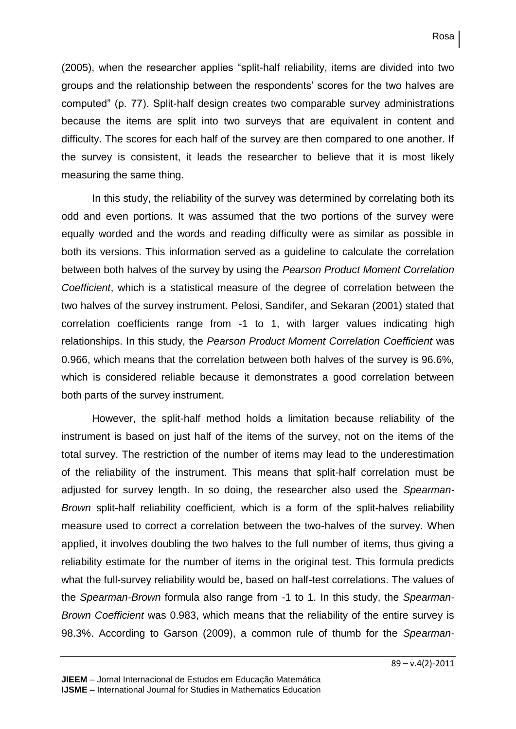(2005), when the researcher applies "split-half reliability, items are divided into two groups and the relationship between the respondents' scores for the two halves are computed" (p. 77). Split-half design creates two comparable survey administrations because the items are split into two surveys that are equivalent in content and difficulty. The scores for each half of the survey are then compared to one another. If the survey is consistent, it leads the researcher to believe that it is most likely measuring the same thing.

In this study, the reliability of the survey was determined by correlating both its odd and even portions. It was assumed that the two portions of the survey were equally worded and the words and reading difficulty were as similar as possible in both its versions. This information served as a guideline to calculate the correlation between both halves of the survey by using the *Pearson Product Moment Correlation Coefficient*, which is a statistical measure of the degree of correlation between the two halves of the survey instrument. Pelosi, Sandifer, and Sekaran (2001) stated that correlation coefficients range from -1 to 1, with larger values indicating high relationships. In this study, the *Pearson Product Moment Correlation Coefficient* was 0.966, which means that the correlation between both halves of the survey is 96.6%, which is considered reliable because it demonstrates a good correlation between both parts of the survey instrument.

However, the split-half method holds a limitation because reliability of the instrument is based on just half of the items of the survey, not on the items of the total survey. The restriction of the number of items may lead to the underestimation of the reliability of the instrument. This means that split-half correlation must be adjusted for survey length. In so doing, the researcher also used the *Spearman-Brown* split-half reliability coefficient*,* which is a form of the split-halves reliability measure used to correct a correlation between the two-halves of the survey. When applied, it involves doubling the two halves to the full number of items, thus giving a reliability estimate for the number of items in the original test. This formula predicts what the full-survey reliability would be, based on half-test correlations. The values of the *Spearman-Brown* formula also range from -1 to 1. In this study, the *Spearman-Brown Coefficient* was 0.983, which means that the reliability of the entire survey is 98.3%. According to Garson (2009), a common rule of thumb for the *Spearman-*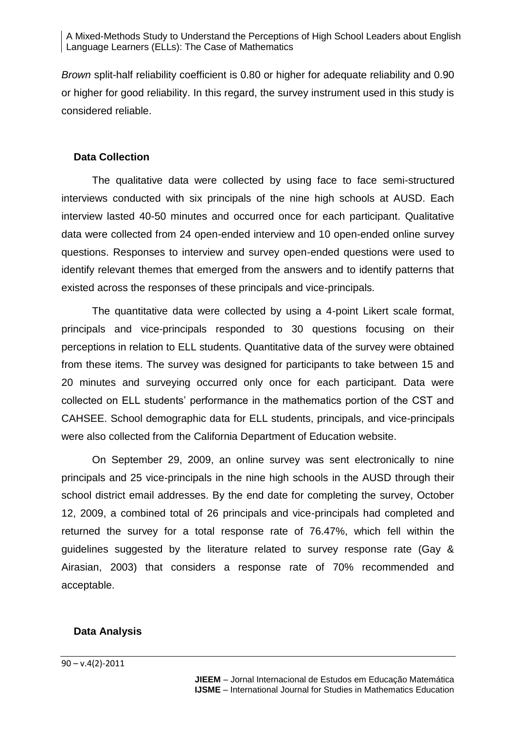*Brown* split-half reliability coefficient is 0.80 or higher for adequate reliability and 0.90 or higher for good reliability. In this regard, the survey instrument used in this study is considered reliable.

#### **Data Collection**

The qualitative data were collected by using face to face semi-structured interviews conducted with six principals of the nine high schools at AUSD. Each interview lasted 40-50 minutes and occurred once for each participant. Qualitative data were collected from 24 open-ended interview and 10 open-ended online survey questions. Responses to interview and survey open-ended questions were used to identify relevant themes that emerged from the answers and to identify patterns that existed across the responses of these principals and vice-principals.

The quantitative data were collected by using a 4-point Likert scale format, principals and vice-principals responded to 30 questions focusing on their perceptions in relation to ELL students. Quantitative data of the survey were obtained from these items. The survey was designed for participants to take between 15 and 20 minutes and surveying occurred only once for each participant. Data were collected on ELL students' performance in the mathematics portion of the CST and CAHSEE. School demographic data for ELL students, principals, and vice-principals were also collected from the California Department of Education website.

On September 29, 2009, an online survey was sent electronically to nine principals and 25 vice-principals in the nine high schools in the AUSD through their school district email addresses. By the end date for completing the survey, October 12, 2009, a combined total of 26 principals and vice-principals had completed and returned the survey for a total response rate of 76.47%, which fell within the guidelines suggested by the literature related to survey response rate (Gay & Airasian, 2003) that considers a response rate of 70% recommended and acceptable.

#### **Data Analysis**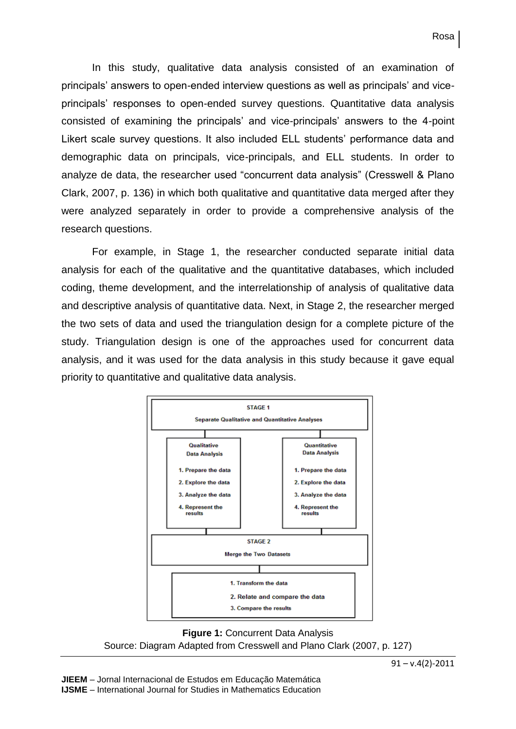In this study, qualitative data analysis consisted of an examination of principals' answers to open-ended interview questions as well as principals' and viceprincipals' responses to open-ended survey questions. Quantitative data analysis consisted of examining the principals' and vice-principals' answers to the 4-point Likert scale survey questions. It also included ELL students' performance data and demographic data on principals, vice-principals, and ELL students. In order to analyze de data, the researcher used "concurrent data analysis" (Cresswell & Plano Clark, 2007, p. 136) in which both qualitative and quantitative data merged after they were analyzed separately in order to provide a comprehensive analysis of the research questions.

For example, in Stage 1, the researcher conducted separate initial data analysis for each of the qualitative and the quantitative databases, which included coding, theme development, and the interrelationship of analysis of qualitative data and descriptive analysis of quantitative data. Next, in Stage 2, the researcher merged the two sets of data and used the triangulation design for a complete picture of the study. Triangulation design is one of the approaches used for concurrent data analysis, and it was used for the data analysis in this study because it gave equal priority to quantitative and qualitative data analysis.



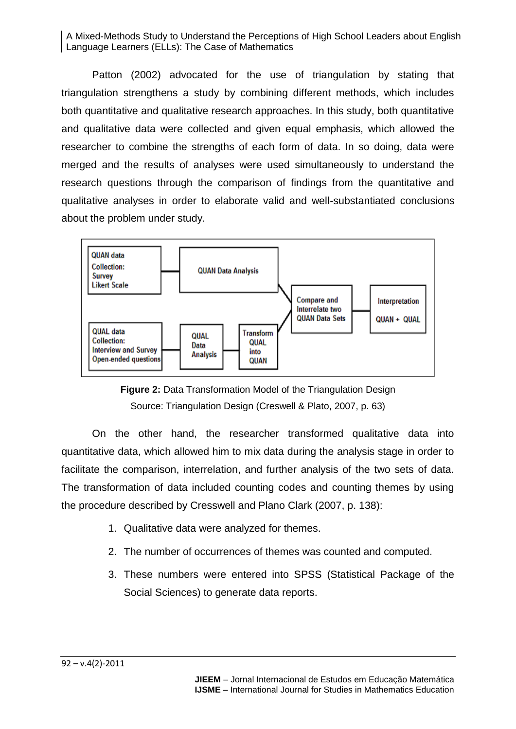Patton (2002) advocated for the use of triangulation by stating that triangulation strengthens a study by combining different methods, which includes both quantitative and qualitative research approaches. In this study, both quantitative and qualitative data were collected and given equal emphasis, which allowed the researcher to combine the strengths of each form of data. In so doing, data were merged and the results of analyses were used simultaneously to understand the research questions through the comparison of findings from the quantitative and qualitative analyses in order to elaborate valid and well-substantiated conclusions about the problem under study.





On the other hand, the researcher transformed qualitative data into quantitative data, which allowed him to mix data during the analysis stage in order to facilitate the comparison, interrelation, and further analysis of the two sets of data. The transformation of data included counting codes and counting themes by using the procedure described by Cresswell and Plano Clark (2007, p. 138):

- 1. Qualitative data were analyzed for themes.
- 2. The number of occurrences of themes was counted and computed.
- 3. These numbers were entered into SPSS (Statistical Package of the Social Sciences) to generate data reports.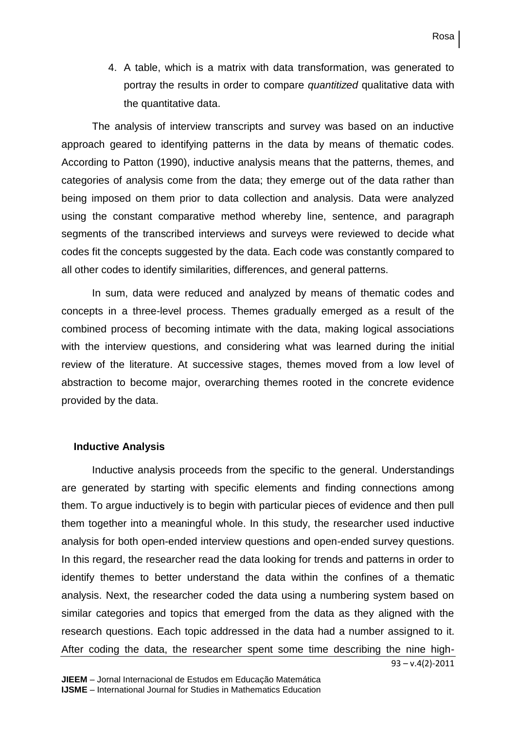4. A table, which is a matrix with data transformation, was generated to portray the results in order to compare *quantitized* qualitative data with the quantitative data.

The analysis of interview transcripts and survey was based on an inductive approach geared to identifying patterns in the data by means of thematic codes. According to Patton (1990), inductive analysis means that the patterns, themes, and categories of analysis come from the data; they emerge out of the data rather than being imposed on them prior to data collection and analysis. Data were analyzed using the constant comparative method whereby line, sentence, and paragraph segments of the transcribed interviews and surveys were reviewed to decide what codes fit the concepts suggested by the data. Each code was constantly compared to all other codes to identify similarities, differences, and general patterns.

In sum, data were reduced and analyzed by means of thematic codes and concepts in a three-level process. Themes gradually emerged as a result of the combined process of becoming intimate with the data, making logical associations with the interview questions, and considering what was learned during the initial review of the literature. At successive stages, themes moved from a low level of abstraction to become major, overarching themes rooted in the concrete evidence provided by the data.

#### **Inductive Analysis**

Inductive analysis proceeds from the specific to the general. Understandings are generated by starting with specific elements and finding connections among them. To argue inductively is to begin with particular pieces of evidence and then pull them together into a meaningful whole. In this study, the researcher used inductive analysis for both open-ended interview questions and open-ended survey questions. In this regard, the researcher read the data looking for trends and patterns in order to identify themes to better understand the data within the confines of a thematic analysis. Next, the researcher coded the data using a numbering system based on similar categories and topics that emerged from the data as they aligned with the research questions. Each topic addressed in the data had a number assigned to it. After coding the data, the researcher spent some time describing the nine high-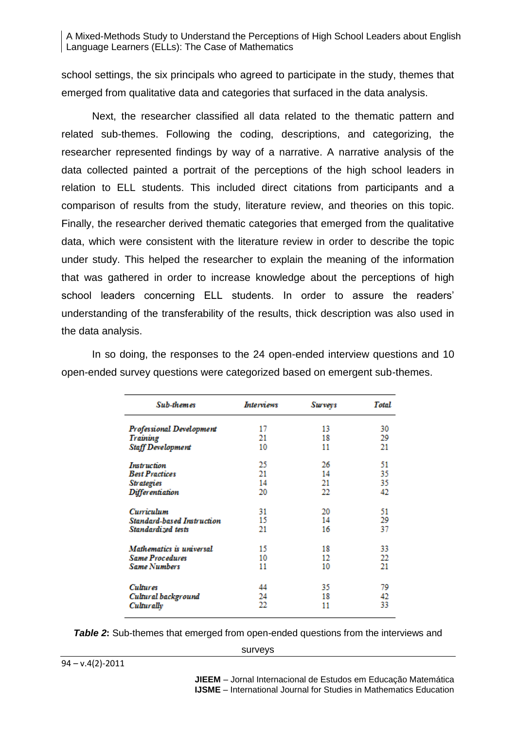school settings, the six principals who agreed to participate in the study, themes that emerged from qualitative data and categories that surfaced in the data analysis.

Next, the researcher classified all data related to the thematic pattern and related sub-themes. Following the coding, descriptions, and categorizing, the researcher represented findings by way of a narrative. A narrative analysis of the data collected painted a portrait of the perceptions of the high school leaders in relation to ELL students. This included direct citations from participants and a comparison of results from the study, literature review, and theories on this topic. Finally, the researcher derived thematic categories that emerged from the qualitative data, which were consistent with the literature review in order to describe the topic under study. This helped the researcher to explain the meaning of the information that was gathered in order to increase knowledge about the perceptions of high school leaders concerning ELL students. In order to assure the readers' understanding of the transferability of the results, thick description was also used in the data analysis.

> Sub-themes **Interviews Surveys Total** Professional Development 30 17 13 Training 21 18 29 21 **Staff Development** 10 11 51 25 26 **Instruction Best Practices** 21 14 35 **Strategies** 14 21 35  $\overline{22}$ 42 **Differentiation** 20 31 20 51 Curriculum 15 14 29 **Standard-based Instruction** 37 Standardized tests 21 16 33 Mathematics is universal 15 18 22 **Same Procedures** 10 12  $\overline{21}$ **Same Numbers** 11 10 35 79 **Cultures** 44 Cultural background 24 18 42 22 33 Culturally 11

In so doing, the responses to the 24 open-ended interview questions and 10 open-ended survey questions were categorized based on emergent sub-themes.

#### *Table 2*: Sub-themes that emerged from open-ended questions from the interviews and

surveys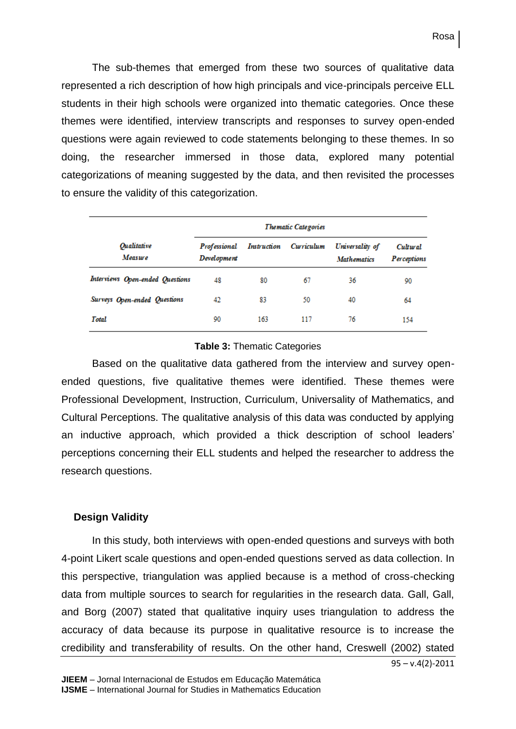Rosa

The sub-themes that emerged from these two sources of qualitative data represented a rich description of how high principals and vice-principals perceive ELL students in their high schools were organized into thematic categories. Once these themes were identified, interview transcripts and responses to survey open-ended questions were again reviewed to code statements belonging to these themes. In so doing, the researcher immersed in those data, explored many potential categorizations of meaning suggested by the data, and then revisited the processes to ensure the validity of this categorization.

|                                      | <b>Thematic Categories</b>  |             |            |                                       |                         |
|--------------------------------------|-----------------------------|-------------|------------|---------------------------------------|-------------------------|
| <i><b>Oualitative</b></i><br>Measure | Professional<br>Development | Instruction | Curriculum | Universality of<br><b>Mathematics</b> | Cultural<br>Perceptions |
| Interviews Open-ended Questions      | 48                          | 80          | 67         | 36                                    | 90                      |
| Surveys Open-ended Questions         | 42                          | 83          | 50         | 40                                    | 64                      |
| <b>Total</b>                         | 90                          | 163         | 117        | 76                                    | 154                     |

#### **Table 3:** Thematic Categories

Based on the qualitative data gathered from the interview and survey openended questions, five qualitative themes were identified. These themes were Professional Development, Instruction, Curriculum, Universality of Mathematics, and Cultural Perceptions. The qualitative analysis of this data was conducted by applying an inductive approach, which provided a thick description of school leaders' perceptions concerning their ELL students and helped the researcher to address the research questions.

#### **Design Validity**

In this study, both interviews with open-ended questions and surveys with both 4-point Likert scale questions and open-ended questions served as data collection. In this perspective, triangulation was applied because is a method of cross-checking data from multiple sources to search for regularities in the research data. Gall, Gall, and Borg (2007) stated that qualitative inquiry uses triangulation to address the accuracy of data because its purpose in qualitative resource is to increase the credibility and transferability of results. On the other hand, Creswell (2002) stated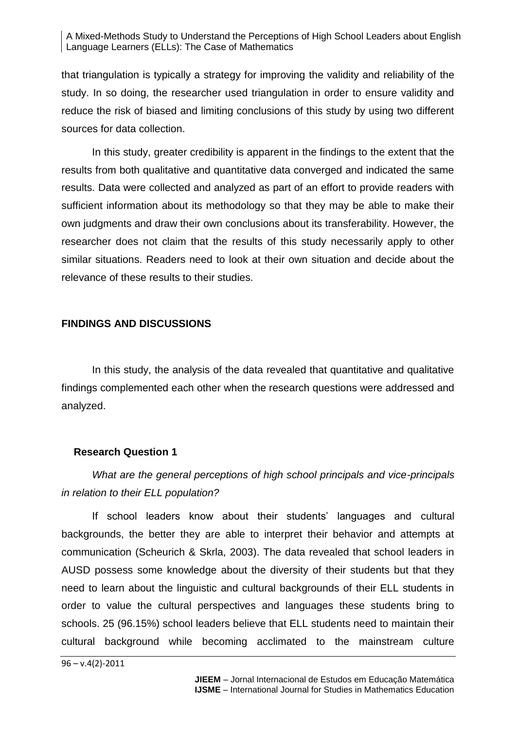that triangulation is typically a strategy for improving the validity and reliability of the study. In so doing, the researcher used triangulation in order to ensure validity and reduce the risk of biased and limiting conclusions of this study by using two different sources for data collection.

In this study, greater credibility is apparent in the findings to the extent that the results from both qualitative and quantitative data converged and indicated the same results. Data were collected and analyzed as part of an effort to provide readers with sufficient information about its methodology so that they may be able to make their own judgments and draw their own conclusions about its transferability. However, the researcher does not claim that the results of this study necessarily apply to other similar situations. Readers need to look at their own situation and decide about the relevance of these results to their studies.

#### **FINDINGS AND DISCUSSIONS**

In this study, the analysis of the data revealed that quantitative and qualitative findings complemented each other when the research questions were addressed and analyzed.

#### **Research Question 1**

*What are the general perceptions of high school principals and vice-principals in relation to their ELL population?*

If school leaders know about their students' languages and cultural backgrounds, the better they are able to interpret their behavior and attempts at communication (Scheurich & Skrla, 2003). The data revealed that school leaders in AUSD possess some knowledge about the diversity of their students but that they need to learn about the linguistic and cultural backgrounds of their ELL students in order to value the cultural perspectives and languages these students bring to schools. 25 (96.15%) school leaders believe that ELL students need to maintain their cultural background while becoming acclimated to the mainstream culture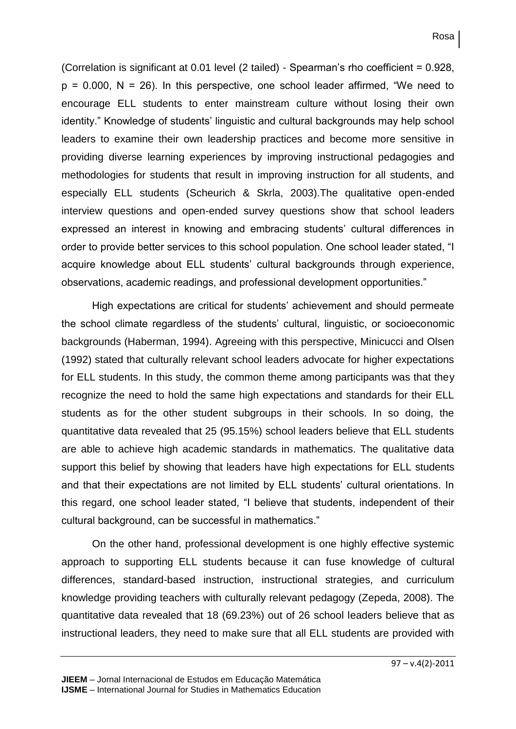(Correlation is significant at 0.01 level (2 tailed) - Spearman's rho coefficient = 0.928,  $p = 0.000$ , N = 26). In this perspective, one school leader affirmed, "We need to encourage ELL students to enter mainstream culture without losing their own identity." Knowledge of students' linguistic and cultural backgrounds may help school leaders to examine their own leadership practices and become more sensitive in providing diverse learning experiences by improving instructional pedagogies and methodologies for students that result in improving instruction for all students, and especially ELL students (Scheurich & Skrla, 2003).The qualitative open-ended interview questions and open-ended survey questions show that school leaders expressed an interest in knowing and embracing students' cultural differences in order to provide better services to this school population. One school leader stated, "I acquire knowledge about ELL students' cultural backgrounds through experience, observations, academic readings, and professional development opportunities."

High expectations are critical for students' achievement and should permeate the school climate regardless of the students' cultural, linguistic, or socioeconomic backgrounds (Haberman, 1994). Agreeing with this perspective, Minicucci and Olsen (1992) stated that culturally relevant school leaders advocate for higher expectations for ELL students. In this study, the common theme among participants was that they recognize the need to hold the same high expectations and standards for their ELL students as for the other student subgroups in their schools. In so doing, the quantitative data revealed that 25 (95.15%) school leaders believe that ELL students are able to achieve high academic standards in mathematics. The qualitative data support this belief by showing that leaders have high expectations for ELL students and that their expectations are not limited by ELL students' cultural orientations. In this regard, one school leader stated, "I believe that students, independent of their cultural background, can be successful in mathematics."

On the other hand, professional development is one highly effective systemic approach to supporting ELL students because it can fuse knowledge of cultural differences, standard-based instruction, instructional strategies, and curriculum knowledge providing teachers with culturally relevant pedagogy (Zepeda, 2008). The quantitative data revealed that 18 (69.23%) out of 26 school leaders believe that as instructional leaders, they need to make sure that all ELL students are provided with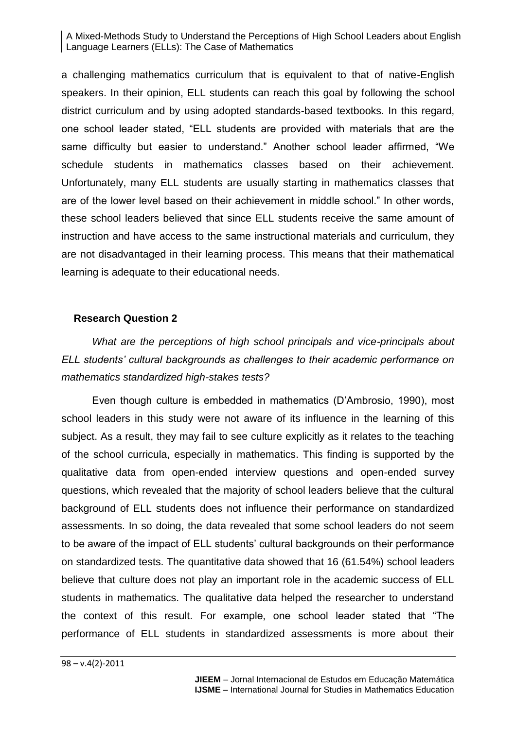a challenging mathematics curriculum that is equivalent to that of native-English speakers. In their opinion, ELL students can reach this goal by following the school district curriculum and by using adopted standards-based textbooks. In this regard, one school leader stated, "ELL students are provided with materials that are the same difficulty but easier to understand." Another school leader affirmed, "We schedule students in mathematics classes based on their achievement. Unfortunately, many ELL students are usually starting in mathematics classes that are of the lower level based on their achievement in middle school." In other words, these school leaders believed that since ELL students receive the same amount of instruction and have access to the same instructional materials and curriculum, they are not disadvantaged in their learning process. This means that their mathematical learning is adequate to their educational needs.

## **Research Question 2**

*What are the perceptions of high school principals and vice-principals about ELL students' cultural backgrounds as challenges to their academic performance on mathematics standardized high-stakes tests?*

Even though culture is embedded in mathematics (D'Ambrosio, 1990), most school leaders in this study were not aware of its influence in the learning of this subject. As a result, they may fail to see culture explicitly as it relates to the teaching of the school curricula, especially in mathematics. This finding is supported by the qualitative data from open-ended interview questions and open-ended survey questions, which revealed that the majority of school leaders believe that the cultural background of ELL students does not influence their performance on standardized assessments. In so doing, the data revealed that some school leaders do not seem to be aware of the impact of ELL students' cultural backgrounds on their performance on standardized tests. The quantitative data showed that 16 (61.54%) school leaders believe that culture does not play an important role in the academic success of ELL students in mathematics. The qualitative data helped the researcher to understand the context of this result. For example, one school leader stated that "The performance of ELL students in standardized assessments is more about their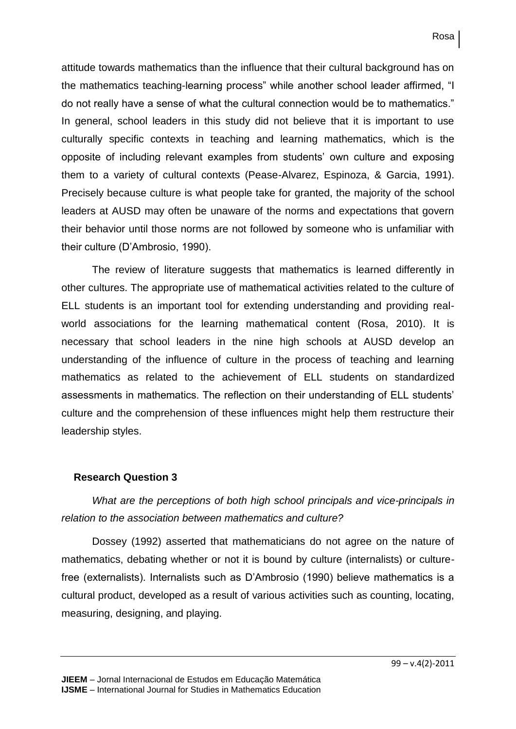attitude towards mathematics than the influence that their cultural background has on the mathematics teaching-learning process" while another school leader affirmed, "I do not really have a sense of what the cultural connection would be to mathematics." In general, school leaders in this study did not believe that it is important to use culturally specific contexts in teaching and learning mathematics, which is the opposite of including relevant examples from students' own culture and exposing them to a variety of cultural contexts (Pease-Alvarez, Espinoza, & Garcia, 1991). Precisely because culture is what people take for granted, the majority of the school leaders at AUSD may often be unaware of the norms and expectations that govern their behavior until those norms are not followed by someone who is unfamiliar with their culture (D'Ambrosio, 1990).

The review of literature suggests that mathematics is learned differently in other cultures. The appropriate use of mathematical activities related to the culture of ELL students is an important tool for extending understanding and providing realworld associations for the learning mathematical content (Rosa, 2010). It is necessary that school leaders in the nine high schools at AUSD develop an understanding of the influence of culture in the process of teaching and learning mathematics as related to the achievement of ELL students on standardized assessments in mathematics. The reflection on their understanding of ELL students' culture and the comprehension of these influences might help them restructure their leadership styles.

## **Research Question 3**

*What are the perceptions of both high school principals and vice-principals in relation to the association between mathematics and culture?*

Dossey (1992) asserted that mathematicians do not agree on the nature of mathematics, debating whether or not it is bound by culture (internalists) or culturefree (externalists). Internalists such as D'Ambrosio (1990) believe mathematics is a cultural product, developed as a result of various activities such as counting, locating, measuring, designing, and playing.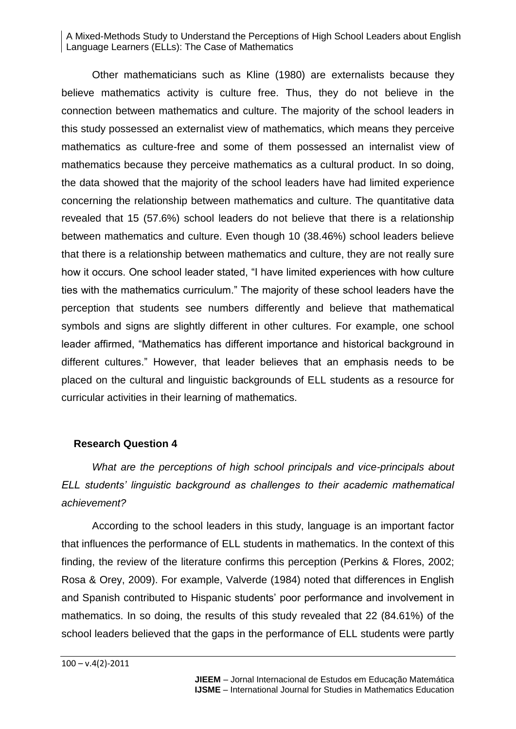Other mathematicians such as Kline (1980) are externalists because they believe mathematics activity is culture free. Thus, they do not believe in the connection between mathematics and culture. The majority of the school leaders in this study possessed an externalist view of mathematics, which means they perceive mathematics as culture-free and some of them possessed an internalist view of mathematics because they perceive mathematics as a cultural product. In so doing, the data showed that the majority of the school leaders have had limited experience concerning the relationship between mathematics and culture. The quantitative data revealed that 15 (57.6%) school leaders do not believe that there is a relationship between mathematics and culture. Even though 10 (38.46%) school leaders believe that there is a relationship between mathematics and culture, they are not really sure how it occurs. One school leader stated, "I have limited experiences with how culture ties with the mathematics curriculum." The majority of these school leaders have the perception that students see numbers differently and believe that mathematical symbols and signs are slightly different in other cultures. For example, one school leader affirmed, "Mathematics has different importance and historical background in different cultures." However, that leader believes that an emphasis needs to be placed on the cultural and linguistic backgrounds of ELL students as a resource for curricular activities in their learning of mathematics.

#### **Research Question 4**

*What are the perceptions of high school principals and vice-principals about ELL students' linguistic background as challenges to their academic mathematical achievement?*

According to the school leaders in this study, language is an important factor that influences the performance of ELL students in mathematics. In the context of this finding, the review of the literature confirms this perception (Perkins & Flores, 2002; Rosa & Orey, 2009). For example, Valverde (1984) noted that differences in English and Spanish contributed to Hispanic students' poor performance and involvement in mathematics. In so doing, the results of this study revealed that 22 (84.61%) of the school leaders believed that the gaps in the performance of ELL students were partly

 $100 - v.4(2) - 2011$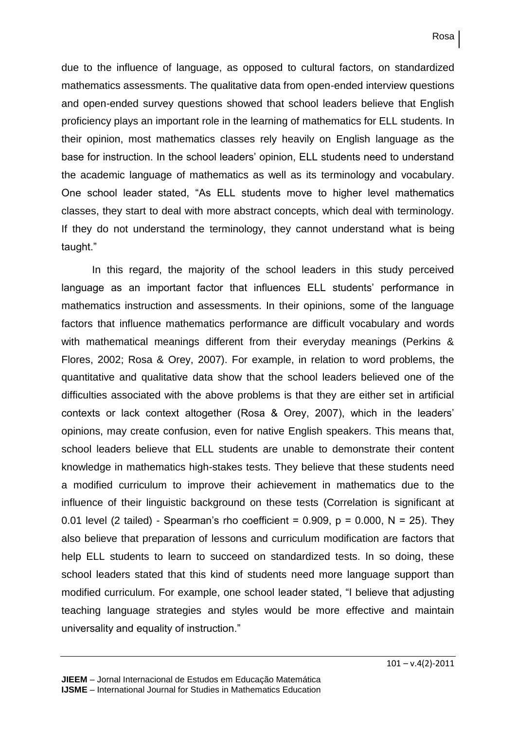due to the influence of language, as opposed to cultural factors, on standardized mathematics assessments. The qualitative data from open-ended interview questions and open-ended survey questions showed that school leaders believe that English proficiency plays an important role in the learning of mathematics for ELL students. In their opinion, most mathematics classes rely heavily on English language as the base for instruction. In the school leaders' opinion, ELL students need to understand the academic language of mathematics as well as its terminology and vocabulary. One school leader stated, "As ELL students move to higher level mathematics classes, they start to deal with more abstract concepts, which deal with terminology. If they do not understand the terminology, they cannot understand what is being taught."

In this regard, the majority of the school leaders in this study perceived language as an important factor that influences ELL students' performance in mathematics instruction and assessments. In their opinions, some of the language factors that influence mathematics performance are difficult vocabulary and words with mathematical meanings different from their everyday meanings (Perkins & Flores, 2002; Rosa & Orey, 2007). For example, in relation to word problems, the quantitative and qualitative data show that the school leaders believed one of the difficulties associated with the above problems is that they are either set in artificial contexts or lack context altogether (Rosa & Orey, 2007), which in the leaders' opinions, may create confusion, even for native English speakers. This means that, school leaders believe that ELL students are unable to demonstrate their content knowledge in mathematics high-stakes tests. They believe that these students need a modified curriculum to improve their achievement in mathematics due to the influence of their linguistic background on these tests (Correlation is significant at 0.01 level (2 tailed) - Spearman's rho coefficient =  $0.909$ ,  $p = 0.000$ ,  $N = 25$ ). They also believe that preparation of lessons and curriculum modification are factors that help ELL students to learn to succeed on standardized tests. In so doing, these school leaders stated that this kind of students need more language support than modified curriculum. For example, one school leader stated, "I believe that adjusting teaching language strategies and styles would be more effective and maintain universality and equality of instruction."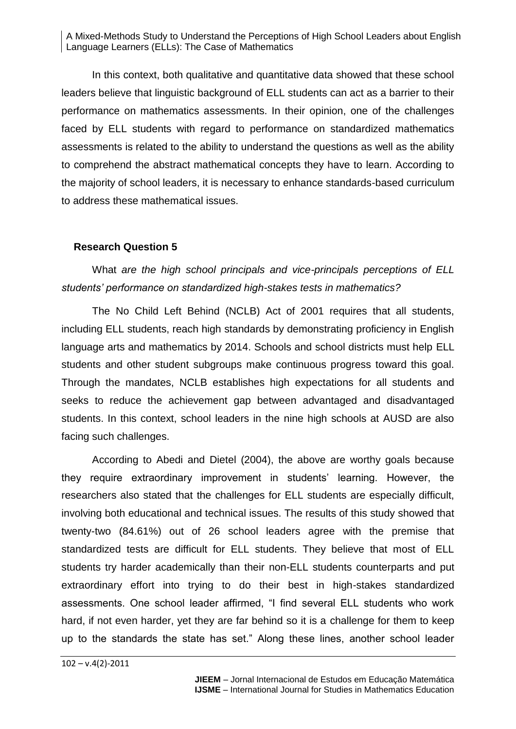In this context, both qualitative and quantitative data showed that these school leaders believe that linguistic background of ELL students can act as a barrier to their performance on mathematics assessments. In their opinion, one of the challenges faced by ELL students with regard to performance on standardized mathematics assessments is related to the ability to understand the questions as well as the ability to comprehend the abstract mathematical concepts they have to learn. According to the majority of school leaders, it is necessary to enhance standards-based curriculum to address these mathematical issues.

#### **Research Question 5**

What *are the high school principals and vice-principals perceptions of ELL students' performance on standardized high-stakes tests in mathematics?*

The No Child Left Behind (NCLB) Act of 2001 requires that all students, including ELL students, reach high standards by demonstrating proficiency in English language arts and mathematics by 2014. Schools and school districts must help ELL students and other student subgroups make continuous progress toward this goal. Through the mandates, NCLB establishes high expectations for all students and seeks to reduce the achievement gap between advantaged and disadvantaged students. In this context, school leaders in the nine high schools at AUSD are also facing such challenges.

According to Abedi and Dietel (2004), the above are worthy goals because they require extraordinary improvement in students' learning. However, the researchers also stated that the challenges for ELL students are especially difficult, involving both educational and technical issues. The results of this study showed that twenty-two (84.61%) out of 26 school leaders agree with the premise that standardized tests are difficult for ELL students. They believe that most of ELL students try harder academically than their non-ELL students counterparts and put extraordinary effort into trying to do their best in high-stakes standardized assessments. One school leader affirmed, "I find several ELL students who work hard, if not even harder, yet they are far behind so it is a challenge for them to keep up to the standards the state has set." Along these lines, another school leader

 $102 - v.4(2) - 2011$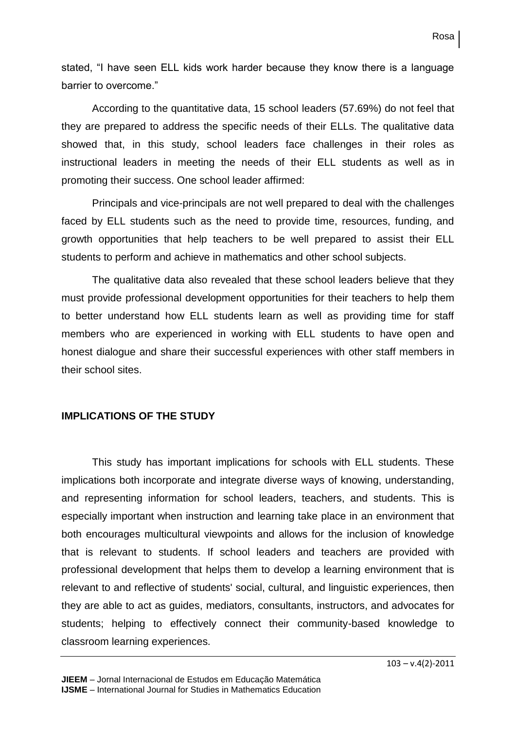stated, "I have seen ELL kids work harder because they know there is a language barrier to overcome."

According to the quantitative data, 15 school leaders (57.69%) do not feel that they are prepared to address the specific needs of their ELLs. The qualitative data showed that, in this study, school leaders face challenges in their roles as instructional leaders in meeting the needs of their ELL students as well as in promoting their success. One school leader affirmed:

Principals and vice-principals are not well prepared to deal with the challenges faced by ELL students such as the need to provide time, resources, funding, and growth opportunities that help teachers to be well prepared to assist their ELL students to perform and achieve in mathematics and other school subjects.

The qualitative data also revealed that these school leaders believe that they must provide professional development opportunities for their teachers to help them to better understand how ELL students learn as well as providing time for staff members who are experienced in working with ELL students to have open and honest dialogue and share their successful experiences with other staff members in their school sites.

## **IMPLICATIONS OF THE STUDY**

This study has important implications for schools with ELL students. These implications both incorporate and integrate diverse ways of knowing, understanding, and representing information for school leaders, teachers, and students. This is especially important when instruction and learning take place in an environment that both encourages multicultural viewpoints and allows for the inclusion of knowledge that is relevant to students. If school leaders and teachers are provided with professional development that helps them to develop a learning environment that is relevant to and reflective of students' social, cultural, and linguistic experiences, then they are able to act as guides, mediators, consultants, instructors, and advocates for students; helping to effectively connect their community-based knowledge to classroom learning experiences.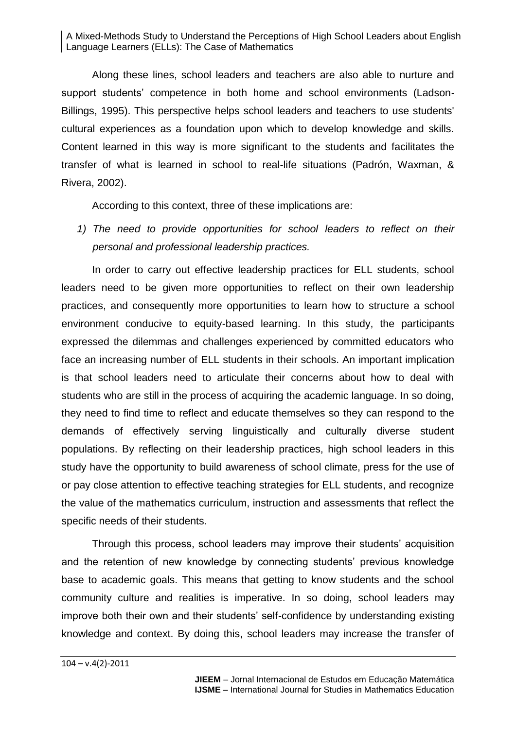Along these lines, school leaders and teachers are also able to nurture and support students' competence in both home and school environments (Ladson-Billings, 1995). This perspective helps school leaders and teachers to use students' cultural experiences as a foundation upon which to develop knowledge and skills. Content learned in this way is more significant to the students and facilitates the transfer of what is learned in school to real-life situations (Padrón, Waxman, & Rivera, 2002).

According to this context, three of these implications are:

*1) The need to provide opportunities for school leaders to reflect on their personal and professional leadership practices.*

In order to carry out effective leadership practices for ELL students, school leaders need to be given more opportunities to reflect on their own leadership practices, and consequently more opportunities to learn how to structure a school environment conducive to equity-based learning. In this study, the participants expressed the dilemmas and challenges experienced by committed educators who face an increasing number of ELL students in their schools. An important implication is that school leaders need to articulate their concerns about how to deal with students who are still in the process of acquiring the academic language. In so doing, they need to find time to reflect and educate themselves so they can respond to the demands of effectively serving linguistically and culturally diverse student populations. By reflecting on their leadership practices, high school leaders in this study have the opportunity to build awareness of school climate, press for the use of or pay close attention to effective teaching strategies for ELL students, and recognize the value of the mathematics curriculum, instruction and assessments that reflect the specific needs of their students.

Through this process, school leaders may improve their students' acquisition and the retention of new knowledge by connecting students' previous knowledge base to academic goals. This means that getting to know students and the school community culture and realities is imperative. In so doing, school leaders may improve both their own and their students' self-confidence by understanding existing knowledge and context. By doing this, school leaders may increase the transfer of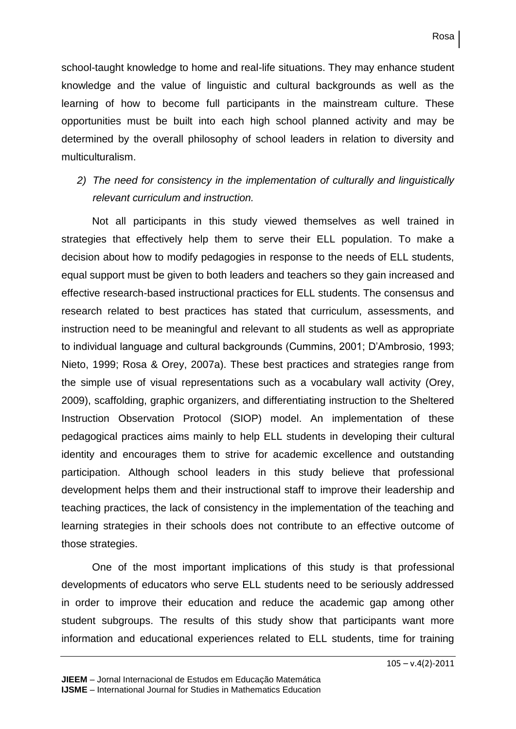school-taught knowledge to home and real-life situations. They may enhance student knowledge and the value of linguistic and cultural backgrounds as well as the learning of how to become full participants in the mainstream culture. These opportunities must be built into each high school planned activity and may be determined by the overall philosophy of school leaders in relation to diversity and multiculturalism.

## *2) The need for consistency in the implementation of culturally and linguistically relevant curriculum and instruction.*

Not all participants in this study viewed themselves as well trained in strategies that effectively help them to serve their ELL population. To make a decision about how to modify pedagogies in response to the needs of ELL students, equal support must be given to both leaders and teachers so they gain increased and effective research-based instructional practices for ELL students. The consensus and research related to best practices has stated that curriculum, assessments, and instruction need to be meaningful and relevant to all students as well as appropriate to individual language and cultural backgrounds (Cummins, 2001; D'Ambrosio, 1993; Nieto, 1999; Rosa & Orey, 2007a). These best practices and strategies range from the simple use of visual representations such as a vocabulary wall activity (Orey, 2009), scaffolding, graphic organizers, and differentiating instruction to the Sheltered Instruction Observation Protocol (SIOP) model. An implementation of these pedagogical practices aims mainly to help ELL students in developing their cultural identity and encourages them to strive for academic excellence and outstanding participation. Although school leaders in this study believe that professional development helps them and their instructional staff to improve their leadership and teaching practices, the lack of consistency in the implementation of the teaching and learning strategies in their schools does not contribute to an effective outcome of those strategies.

One of the most important implications of this study is that professional developments of educators who serve ELL students need to be seriously addressed in order to improve their education and reduce the academic gap among other student subgroups. The results of this study show that participants want more information and educational experiences related to ELL students, time for training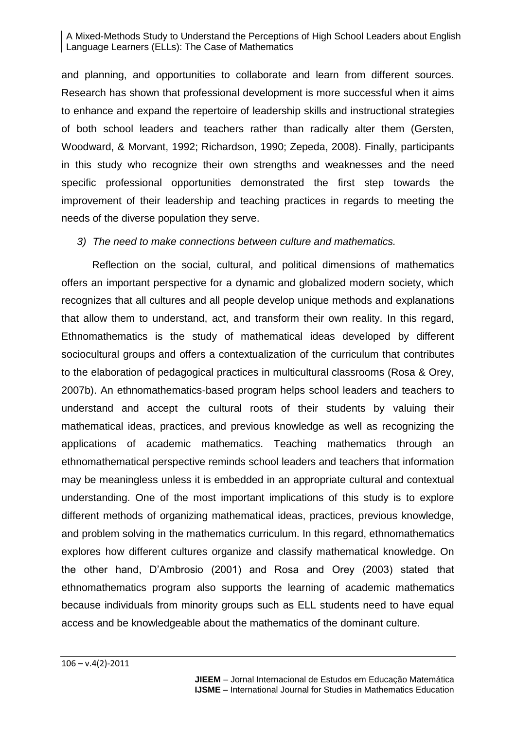and planning, and opportunities to collaborate and learn from different sources. Research has shown that professional development is more successful when it aims to enhance and expand the repertoire of leadership skills and instructional strategies of both school leaders and teachers rather than radically alter them (Gersten, Woodward, & Morvant, 1992; Richardson, 1990; Zepeda, 2008). Finally, participants in this study who recognize their own strengths and weaknesses and the need specific professional opportunities demonstrated the first step towards the improvement of their leadership and teaching practices in regards to meeting the needs of the diverse population they serve.

## *3) The need to make connections between culture and mathematics.*

Reflection on the social, cultural, and political dimensions of mathematics offers an important perspective for a dynamic and globalized modern society, which recognizes that all cultures and all people develop unique methods and explanations that allow them to understand, act, and transform their own reality. In this regard, Ethnomathematics is the study of mathematical ideas developed by different sociocultural groups and offers a contextualization of the curriculum that contributes to the elaboration of pedagogical practices in multicultural classrooms (Rosa & Orey, 2007b). An ethnomathematics-based program helps school leaders and teachers to understand and accept the cultural roots of their students by valuing their mathematical ideas, practices, and previous knowledge as well as recognizing the applications of academic mathematics. Teaching mathematics through an ethnomathematical perspective reminds school leaders and teachers that information may be meaningless unless it is embedded in an appropriate cultural and contextual understanding. One of the most important implications of this study is to explore different methods of organizing mathematical ideas, practices, previous knowledge, and problem solving in the mathematics curriculum. In this regard, ethnomathematics explores how different cultures organize and classify mathematical knowledge. On the other hand, D'Ambrosio (2001) and Rosa and Orey (2003) stated that ethnomathematics program also supports the learning of academic mathematics because individuals from minority groups such as ELL students need to have equal access and be knowledgeable about the mathematics of the dominant culture.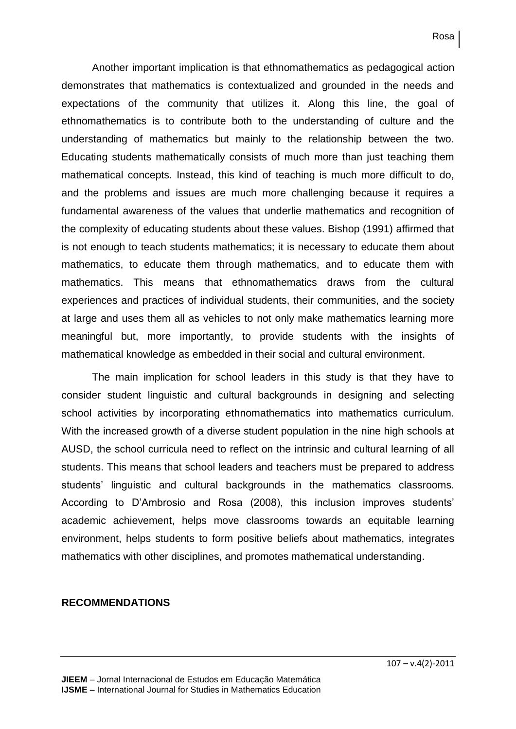Another important implication is that ethnomathematics as pedagogical action demonstrates that mathematics is contextualized and grounded in the needs and expectations of the community that utilizes it. Along this line, the goal of ethnomathematics is to contribute both to the understanding of culture and the understanding of mathematics but mainly to the relationship between the two. Educating students mathematically consists of much more than just teaching them mathematical concepts. Instead, this kind of teaching is much more difficult to do, and the problems and issues are much more challenging because it requires a fundamental awareness of the values that underlie mathematics and recognition of the complexity of educating students about these values. Bishop (1991) affirmed that is not enough to teach students mathematics; it is necessary to educate them about mathematics, to educate them through mathematics, and to educate them with mathematics. This means that ethnomathematics draws from the cultural experiences and practices of individual students, their communities, and the society at large and uses them all as vehicles to not only make mathematics learning more meaningful but, more importantly, to provide students with the insights of mathematical knowledge as embedded in their social and cultural environment.

The main implication for school leaders in this study is that they have to consider student linguistic and cultural backgrounds in designing and selecting school activities by incorporating ethnomathematics into mathematics curriculum. With the increased growth of a diverse student population in the nine high schools at AUSD, the school curricula need to reflect on the intrinsic and cultural learning of all students. This means that school leaders and teachers must be prepared to address students' linguistic and cultural backgrounds in the mathematics classrooms. According to D'Ambrosio and Rosa (2008), this inclusion improves students' academic achievement, helps move classrooms towards an equitable learning environment, helps students to form positive beliefs about mathematics, integrates mathematics with other disciplines, and promotes mathematical understanding.

#### **RECOMMENDATIONS**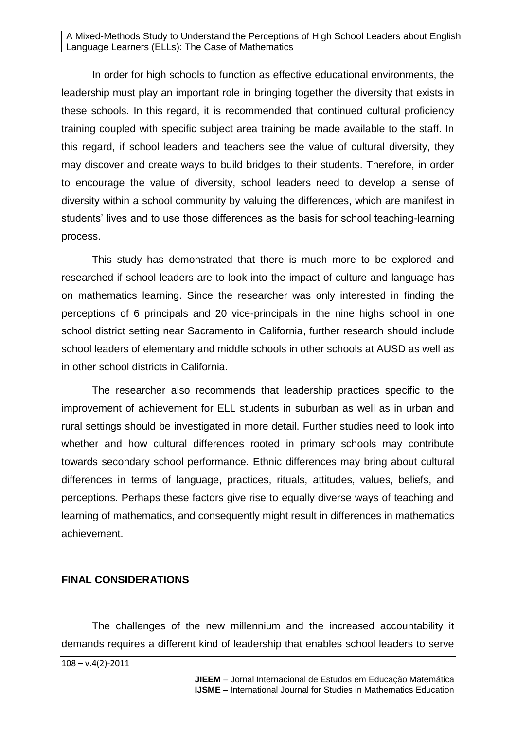In order for high schools to function as effective educational environments, the leadership must play an important role in bringing together the diversity that exists in these schools. In this regard, it is recommended that continued cultural proficiency training coupled with specific subject area training be made available to the staff. In this regard, if school leaders and teachers see the value of cultural diversity, they may discover and create ways to build bridges to their students. Therefore, in order to encourage the value of diversity, school leaders need to develop a sense of diversity within a school community by valuing the differences, which are manifest in students' lives and to use those differences as the basis for school teaching-learning process.

This study has demonstrated that there is much more to be explored and researched if school leaders are to look into the impact of culture and language has on mathematics learning. Since the researcher was only interested in finding the perceptions of 6 principals and 20 vice-principals in the nine highs school in one school district setting near Sacramento in California, further research should include school leaders of elementary and middle schools in other schools at AUSD as well as in other school districts in California.

The researcher also recommends that leadership practices specific to the improvement of achievement for ELL students in suburban as well as in urban and rural settings should be investigated in more detail. Further studies need to look into whether and how cultural differences rooted in primary schools may contribute towards secondary school performance. Ethnic differences may bring about cultural differences in terms of language, practices, rituals, attitudes, values, beliefs, and perceptions. Perhaps these factors give rise to equally diverse ways of teaching and learning of mathematics, and consequently might result in differences in mathematics achievement.

#### **FINAL CONSIDERATIONS**

The challenges of the new millennium and the increased accountability it demands requires a different kind of leadership that enables school leaders to serve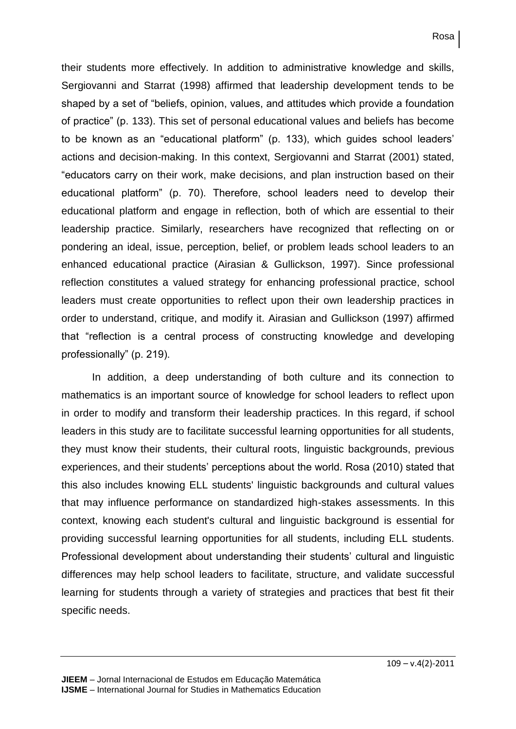their students more effectively. In addition to administrative knowledge and skills, Sergiovanni and Starrat (1998) affirmed that leadership development tends to be shaped by a set of "beliefs, opinion, values, and attitudes which provide a foundation of practice" (p. 133). This set of personal educational values and beliefs has become to be known as an "educational platform" (p. 133), which guides school leaders' actions and decision-making. In this context, Sergiovanni and Starrat (2001) stated, "educators carry on their work, make decisions, and plan instruction based on their educational platform" (p. 70). Therefore, school leaders need to develop their educational platform and engage in reflection, both of which are essential to their leadership practice. Similarly, researchers have recognized that reflecting on or pondering an ideal, issue, perception, belief, or problem leads school leaders to an enhanced educational practice (Airasian & Gullickson, 1997). Since professional reflection constitutes a valued strategy for enhancing professional practice, school leaders must create opportunities to reflect upon their own leadership practices in order to understand, critique, and modify it. Airasian and Gullickson (1997) affirmed that "reflection is a central process of constructing knowledge and developing professionally" (p. 219).

In addition, a deep understanding of both culture and its connection to mathematics is an important source of knowledge for school leaders to reflect upon in order to modify and transform their leadership practices. In this regard, if school leaders in this study are to facilitate successful learning opportunities for all students, they must know their students, their cultural roots, linguistic backgrounds, previous experiences, and their students' perceptions about the world. Rosa (2010) stated that this also includes knowing ELL students' linguistic backgrounds and cultural values that may influence performance on standardized high-stakes assessments. In this context, knowing each student's cultural and linguistic background is essential for providing successful learning opportunities for all students, including ELL students. Professional development about understanding their students' cultural and linguistic differences may help school leaders to facilitate, structure, and validate successful learning for students through a variety of strategies and practices that best fit their specific needs.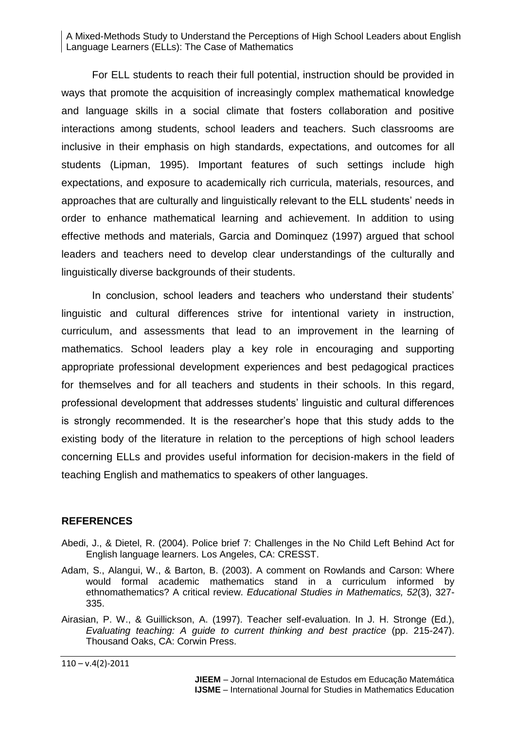For ELL students to reach their full potential, instruction should be provided in ways that promote the acquisition of increasingly complex mathematical knowledge and language skills in a social climate that fosters collaboration and positive interactions among students, school leaders and teachers. Such classrooms are inclusive in their emphasis on high standards, expectations, and outcomes for all students (Lipman, 1995). Important features of such settings include high expectations, and exposure to academically rich curricula, materials, resources, and approaches that are culturally and linguistically relevant to the ELL students' needs in order to enhance mathematical learning and achievement. In addition to using effective methods and materials, Garcia and Dominquez (1997) argued that school leaders and teachers need to develop clear understandings of the culturally and linguistically diverse backgrounds of their students.

In conclusion, school leaders and teachers who understand their students' linguistic and cultural differences strive for intentional variety in instruction, curriculum, and assessments that lead to an improvement in the learning of mathematics. School leaders play a key role in encouraging and supporting appropriate professional development experiences and best pedagogical practices for themselves and for all teachers and students in their schools. In this regard, professional development that addresses students' linguistic and cultural differences is strongly recommended. It is the researcher's hope that this study adds to the existing body of the literature in relation to the perceptions of high school leaders concerning ELLs and provides useful information for decision-makers in the field of teaching English and mathematics to speakers of other languages.

## **REFERENCES**

- Abedi, J., & Dietel, R. (2004). Police brief 7: Challenges in the No Child Left Behind Act for English language learners. Los Angeles, CA: CRESST.
- Adam, S., Alangui, W., & Barton, B. (2003). A comment on Rowlands and Carson: Where would formal academic mathematics stand in a curriculum informed by ethnomathematics? A critical review. *Educational Studies in Mathematics, 52*(3), 327- 335.
- Airasian, P. W., & Guillickson, A. (1997). Teacher self-evaluation. In J. H. Stronge (Ed.), *Evaluating teaching: A guide to current thinking and best practice* (pp. 215-247). Thousand Oaks, CA: Corwin Press.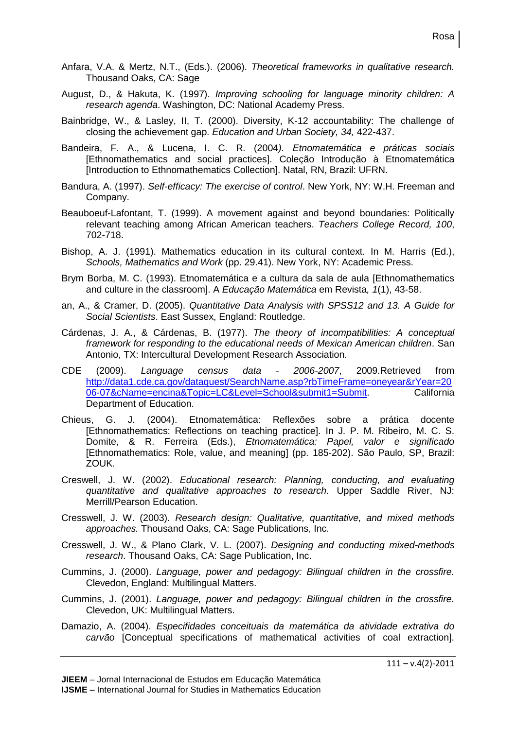- Anfara, V.A. & Mertz, N.T., (Eds.). (2006). *Theoretical frameworks in qualitative research.* Thousand Oaks, CA: Sage
- August, D., & Hakuta, K. (1997). *Improving schooling for language minority children: A research agenda*. Washington, DC: National Academy Press.
- Bainbridge, W., & Lasley, II, T. (2000). Diversity, K-12 accountability: The challenge of closing the achievement gap. *Education and Urban Society, 34,* 422-437.
- Bandeira, F. A., & Lucena, I. C. R. (2004*). Etnomatemática e práticas sociais* [Ethnomathematics and social practices]. Coleção Introdução à Etnomatemática [Introduction to Ethnomathematics Collection]. Natal, RN, Brazil: UFRN.
- Bandura, A. (1997). *Self-efficacy: The exercise of control*. New York, NY: W.H. Freeman and Company.
- Beauboeuf-Lafontant, T. (1999). A movement against and beyond boundaries: Politically relevant teaching among African American teachers. *Teachers College Record, 100*, 702-718.
- Bishop, A. J. (1991). Mathematics education in its cultural context. In M. Harris (Ed.), *Schools, Mathematics and Work* (pp. 29.41). New York, NY: Academic Press.
- Brym Borba, M. C. (1993). Etnomatemática e a cultura da sala de aula [Ethnomathematics and culture in the classroom]. A *Educação Matemática* em Revista*, 1*(1), 43-58.
- an, A., & Cramer, D. (2005). *Quantitative Data Analysis with SPSS12 and 13. A Guide for Social Scientists*. East Sussex, England: Routledge.
- Cárdenas, J. A., & Cárdenas, B. (1977). *The theory of incompatibilities: A conceptual framework for responding to the educational needs of Mexican American children*. San Antonio, TX: Intercultural Development Research Association.
- CDE (2009). *Language census data - 2006-2007*, 2009.Retrieved from [http://data1.cde.ca.gov/dataquest/SearchName.asp?rbTimeFrame=oneyear&rYear=20](http://data1.cde.ca.gov/dataquest/SearchName.asp?rbTimeFrame=oneyear&rYear=2006-07&cName=encina&Topic=LC&Level=School&submit1=Submit) [06-07&cName=encina&Topic=LC&Level=School&submit1=Submit.](http://data1.cde.ca.gov/dataquest/SearchName.asp?rbTimeFrame=oneyear&rYear=2006-07&cName=encina&Topic=LC&Level=School&submit1=Submit) California Department of Education.
- Chieus, G. J. (2004). Etnomatemática: Reflexões sobre a prática docente [Ethnomathematics: Reflections on teaching practice]. In J. P. M. Ribeiro, M. C. S. Domite, & R. Ferreira (Eds.), *Etnomatemática: Papel, valor e significado* [Ethnomathematics: Role, value, and meaning] (pp. 185-202). São Paulo, SP, Brazil: ZOUK.
- Creswell, J. W. (2002). *Educational research: Planning, conducting, and evaluating quantitative and qualitative approaches to research*. Upper Saddle River, NJ: Merrill/Pearson Education.
- Cresswell, J. W. (2003). *Research design: Qualitative, quantitative, and mixed methods approaches.* Thousand Oaks, CA: Sage Publications, Inc.
- Cresswell, J. W., & Plano Clark, V. L. (2007). *Designing and conducting mixed-methods research*. Thousand Oaks, CA: Sage Publication, Inc.
- Cummins, J. (2000). *Language, power and pedagogy: Bilingual children in the crossfire.*  Clevedon, England: Multilingual Matters.
- Cummins, J. (2001). *Language, power and pedagogy: Bilingual children in the crossfire.* Clevedon, UK: Multilingual Matters.
- Damazio, A. (2004). *Especifidades conceituais da matemática da atividade extrativa do carvão* [Conceptual specifications of mathematical activities of coal extraction].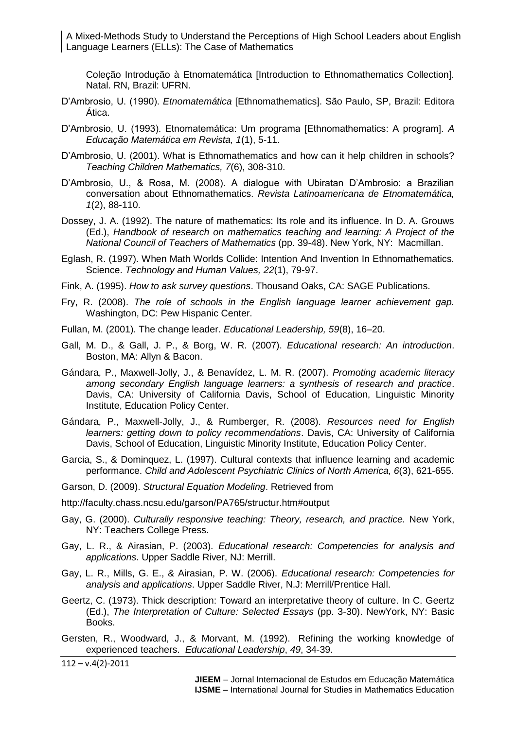Coleção Introdução à Etnomatemática [Introduction to Ethnomathematics Collection]. Natal. RN, Brazil: UFRN.

- D'Ambrosio, U. (1990). *Etnomatemática* [Ethnomathematics]. São Paulo, SP, Brazil: Editora Ática.
- D'Ambrosio, U. (1993). Etnomatemática: Um programa [Ethnomathematics: A program]. *A Educação Matemática em Revista, 1*(1), 5-11.
- D'Ambrosio, U. (2001). What is Ethnomathematics and how can it help children in schools? *Teaching Children Mathematics, 7*(6), 308-310.
- D'Ambrosio, U., & Rosa, M. (2008). A dialogue with Ubiratan D'Ambrosio: a Brazilian conversation about Ethnomathematics. *Revista Latinoamericana de Etnomatemática, 1*(2), 88-110.
- Dossey, J. A. (1992). The nature of mathematics: Its role and its influence. In D. A. Grouws (Ed.), *Handbook of research on mathematics teaching and learning: A Project of the National Council of Teachers of Mathematics* (pp. 39-48). New York, NY: Macmillan.
- Eglash, R. (1997). When Math Worlds Collide: Intention And Invention In Ethnomathematics. Science. *Technology and Human Values, 22*(1), 79-97.
- Fink, A. (1995). *How to ask survey questions*. Thousand Oaks, CA: SAGE Publications.
- Fry, R. (2008). *The role of schools in the English language learner achievement gap.*  Washington, DC: Pew Hispanic Center.
- Fullan, M. (2001). The change leader. *Educational Leadership, 59*(8), 16–20.
- Gall, M. D., & Gall, J. P., & Borg, W. R. (2007). *Educational research: An introduction*. Boston, MA: Allyn & Bacon.
- Gándara, P., Maxwell-Jolly, J., & Benavídez, L. M. R. (2007). *Promoting academic literacy among secondary English language learners: a synthesis of research and practice*. Davis, CA: University of California Davis, School of Education, Linguistic Minority Institute, Education Policy Center.
- Gándara, P., Maxwell-Jolly, J., & Rumberger, R. (2008). *Resources need for English learners: getting down to policy recommendations*. Davis, CA: University of California Davis, School of Education, Linguistic Minority Institute, Education Policy Center.
- Garcia, S., & Dominquez, L. (1997). Cultural contexts that influence learning and academic performance. *Child and Adolescent Psychiatric Clinics of North America, 6*(3), 621-655.
- Garson, D. (2009). *Structural Equation Modeling*. Retrieved from

http://faculty.chass.ncsu.edu/garson/PA765/structur.htm#output

- Gay, G. (2000). *Culturally responsive teaching: Theory, research, and practice.* New York, NY: Teachers College Press.
- Gay, L. R., & Airasian, P. (2003). *Educational research: Competencies for analysis and applications*. Upper Saddle River, NJ: Merrill.
- Gay, L. R., Mills, G. E., & Airasian, P. W. (2006). *Educational research: Competencies for analysis and applications*. Upper Saddle River, N.J: Merrill/Prentice Hall.
- Geertz, C. (1973). Thick description: Toward an interpretative theory of culture. In C. Geertz (Ed.), *The Interpretation of Culture: Selected Essays* (pp. 3-30). NewYork, NY: Basic Books.

Gersten, R., Woodward, J., & Morvant, M. (1992). Refining the working knowledge of experienced teachers. *Educational Leadership*, *49*, 34-39.

 $112 - v.4(2) - 2011$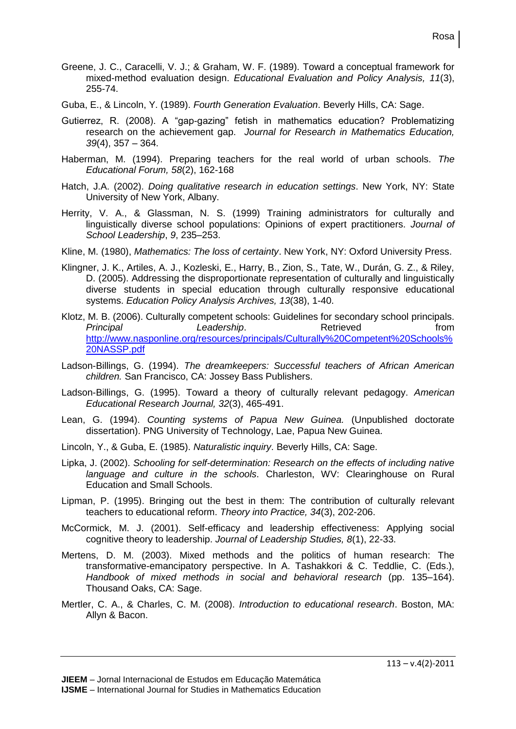- Greene, J. C., Caracelli, V. J.; & Graham, W. F. (1989). Toward a conceptual framework for mixed-method evaluation design. *Educational Evaluation and Policy Analysis, 11*(3), 255-74.
- Guba, E., & Lincoln, Y. (1989). *Fourth Generation Evaluation*. Beverly Hills, CA: Sage.
- Gutierrez, R. (2008). A "gap-gazing" fetish in mathematics education? Problematizing research on the achievement gap. *Journal for Research in Mathematics Education, 39*(4), 357 – 364.
- Haberman, M. (1994). Preparing teachers for the real world of urban schools. *The Educational Forum, 58*(2), 162-168
- Hatch, J.A. (2002). *Doing qualitative research in education settings*. New York, NY: State University of New York, Albany.
- Herrity, V. A., & Glassman, N. S. (1999) Training administrators for culturally and linguistically diverse school populations: Opinions of expert practitioners. *Journal of School Leadership*, *9*, 235–253.
- Kline, M. (1980), *Mathematics: The loss of certainty*. New York, NY: Oxford University Press.
- Klingner, J. K., Artiles, A. J., Kozleski, E., Harry, B., Zion, S., Tate, W., Durán, G. Z., & Riley, D. (2005). Addressing the disproportionate representation of culturally and linguistically diverse students in special education through culturally responsive educational systems. *Education Policy Analysis Archives, 13*(38), 1-40.
- Klotz, M. B. (2006). Culturally competent schools: Guidelines for secondary school principals. *Principal* **Leadership.** Retrieved **from** [http://www.nasponline.org/resources/principals/Culturally%20Competent%20Schools%](http://www.nasponline.org/resources/principals/Culturally%20Competent%20Schools%20NASSP.pdf) [20NASSP.pdf](http://www.nasponline.org/resources/principals/Culturally%20Competent%20Schools%20NASSP.pdf)
- Ladson-Billings, G. (1994). *The dreamkeepers: Successful teachers of African American children.* San Francisco, CA: Jossey Bass Publishers.
- Ladson-Billings, G. (1995). Toward a theory of culturally relevant pedagogy. *American Educational Research Journal, 32*(3), 465-491.
- Lean, G. (1994). *Counting systems of Papua New Guinea.* (Unpublished doctorate dissertation). PNG University of Technology, Lae, Papua New Guinea.
- Lincoln, Y., & Guba, E. (1985). *Naturalistic inquiry*. Beverly Hills, CA: Sage.
- Lipka, J. (2002). *Schooling for self-determination: Research on the effects of including native language and culture in the schools*. Charleston, WV: Clearinghouse on Rural Education and Small Schools.
- Lipman, P. (1995). Bringing out the best in them: The contribution of culturally relevant teachers to educational reform. *Theory into Practice, 34*(3), 202-206.
- McCormick, M. J. (2001). Self-efficacy and leadership effectiveness: Applying social cognitive theory to leadership. *Journal of Leadership Studies, 8*(1), 22-33.
- Mertens, D. M. (2003). Mixed methods and the politics of human research: The transformative-emancipatory perspective. In A. Tashakkori & C. Teddlie, C. (Eds.), *Handbook of mixed methods in social and behavioral research* (pp. 135–164). Thousand Oaks, CA: Sage.
- Mertler, C. A., & Charles, C. M. (2008). *Introduction to educational research*. Boston, MA: Allyn & Bacon.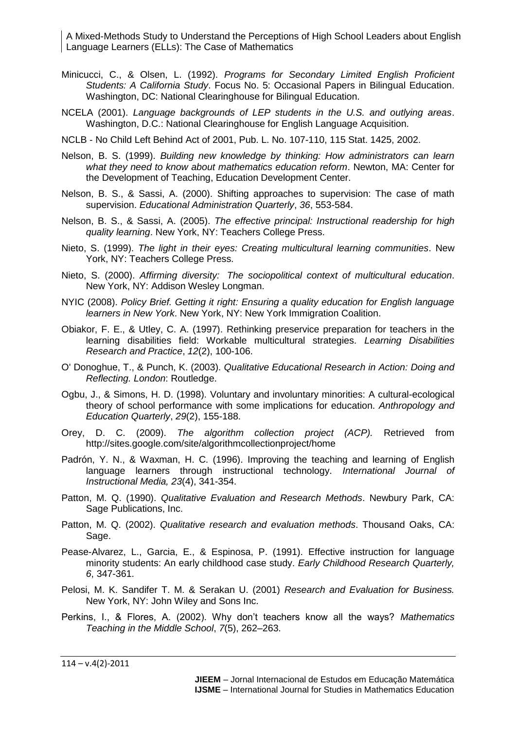- Minicucci, C., & Olsen, L. (1992). *Programs for Secondary Limited English Proficient Students: A California Study*. Focus No. 5: Occasional Papers in Bilingual Education. Washington, DC: National Clearinghouse for Bilingual Education.
- NCELA (2001). *Language backgrounds of LEP students in the U.S. and outlying areas*. Washington, D.C.: National Clearinghouse for English Language Acquisition.
- NCLB No Child Left Behind Act of 2001, Pub. L. No. 107-110, 115 Stat. 1425, 2002.
- Nelson, B. S. (1999). *Building new knowledge by thinking: How administrators can learn what they need to know about mathematics education reform*. Newton, MA: Center for the Development of Teaching, Education Development Center.
- Nelson, B. S., & Sassi, A. (2000). Shifting approaches to supervision: The case of math supervision. *Educational Administration Quarterly*, *36*, 553-584.
- Nelson, B. S., & Sassi, A. (2005). *The effective principal: Instructional readership for high quality learning*. New York, NY: Teachers College Press.
- Nieto, S. (1999). *The light in their eyes: Creating multicultural learning communities*. New York, NY: Teachers College Press.
- Nieto, S. (2000). *Affirming diversity: The sociopolitical context of multicultural education*. New York, NY: Addison Wesley Longman.
- NYIC (2008). *Policy Brief. Getting it right: Ensuring a quality education for English language learners in New York*. New York, NY: New York Immigration Coalition.
- Obiakor, F. E., & Utley, C. A. (1997). Rethinking preservice preparation for teachers in the learning disabilities field: Workable multicultural strategies. *Learning Disabilities Research and Practice*, *12*(2), 100-106.
- O' Donoghue, T., & Punch, K. (2003). *Qualitative Educational Research in Action: Doing and Reflecting. London*: Routledge.
- Ogbu, J., & Simons, H. D. (1998). Voluntary and involuntary minorities: A cultural-ecological theory of school performance with some implications for education. *Anthropology and Education Quarterly*, *29*(2), 155-188.
- Orey, D. C. (2009). *The algorithm collection project (ACP).* Retrieved from http://sites.google.com/site/algorithmcollectionproject/home
- Padrón, Y. N., & Waxman, H. C. (1996). Improving the teaching and learning of English language learners through instructional technology. *International Journal of Instructional Media, 23*(4), 341-354.
- Patton, M. Q. (1990). *Qualitative Evaluation and Research Methods*. Newbury Park, CA: Sage Publications, Inc.
- Patton, M. Q. (2002). *Qualitative research and evaluation methods*. Thousand Oaks, CA: Sage.
- Pease-Alvarez, L., Garcia, E., & Espinosa, P. (1991). Effective instruction for language minority students: An early childhood case study. *Early Childhood Research Quarterly, 6*, 347-361.
- Pelosi, M. K. Sandifer T. M. & Serakan U. (2001) *Research and Evaluation for Business.*  New York, NY: John Wiley and Sons Inc.
- Perkins, I., & Flores, A. (2002). Why don't teachers know all the ways? *Mathematics Teaching in the Middle School*, *7*(5), 262–263.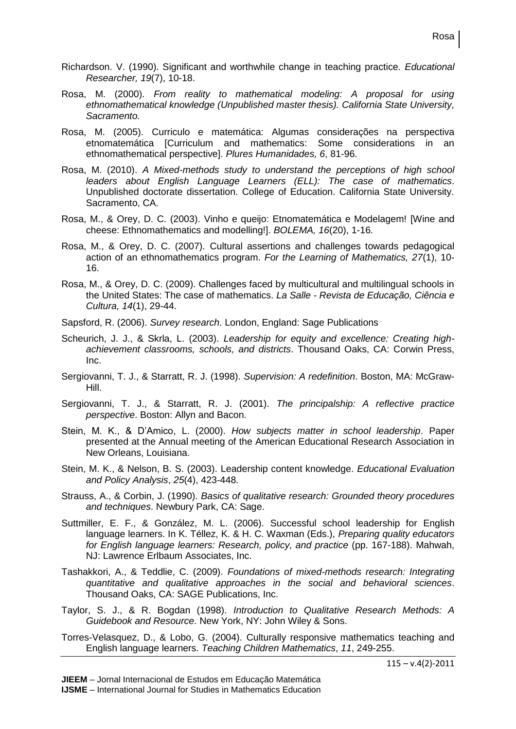- Richardson. V. (1990). Significant and worthwhile change in teaching practice. *Educational Researcher, 19*(7), 10-18.
- Rosa, M. (2000). *From reality to mathematical modeling: A proposal for using ethnomathematical knowledge (Unpublished master thesis). California State University, Sacramento.*
- Rosa, M. (2005). Curriculo e matemática: Algumas considerações na perspectiva etnomatemática [Curriculum and mathematics: Some considerations in an ethnomathematical perspective]. *Plures Humanidades, 6*, 81-96.
- Rosa, M. (2010). *A Mixed-methods study to understand the perceptions of high school leaders about English Language Learners (ELL): The case of mathematics*. Unpublished doctorate dissertation. College of Education. California State University. Sacramento, CA.
- Rosa, M., & Orey, D. C. (2003). Vinho e queijo: Etnomatemática e Modelagem! [Wine and cheese: Ethnomathematics and modelling!]. *BOLEMA, 16*(20), 1-16.
- Rosa, M., & Orey, D. C. (2007). Cultural assertions and challenges towards pedagogical action of an ethnomathematics program. *For the Learning of Mathematics, 27*(1), 10- 16.
- Rosa, M., & Orey, D. C. (2009). Challenges faced by multicultural and multilingual schools in the United States: The case of mathematics. *La Salle - Revista de Educação, Ciência e Cultura, 14*(1), 29-44.
- Sapsford, R. (2006). *Survey research*. London, England: Sage Publications
- Scheurich, J. J., & Skrla, L. (2003). *Leadership for equity and excellence: Creating highachievement classrooms, schools, and districts*. Thousand Oaks, CA: Corwin Press, Inc.
- Sergiovanni, T. J., & Starratt, R. J. (1998). *Supervision: A redefinition*. Boston, MA: McGraw-Hill.
- Sergiovanni, T. J., & Starratt, R. J. (2001). *The principalship: A reflective practice perspective*. Boston: Allyn and Bacon.
- Stein, M. K., & D'Amico, L. (2000). *How subjects matter in school leadership*. Paper presented at the Annual meeting of the American Educational Research Association in New Orleans, Louisiana.
- Stein, M. K., & Nelson, B. S. (2003). Leadership content knowledge. *Educational Evaluation and Policy Analysis*, *25*(4), 423-448.
- Strauss, A., & Corbin, J. (1990). *Basics of qualitative research: Grounded theory procedures and techniques*. Newbury Park, CA: Sage.
- Suttmiller, E. F., & González, M. L. (2006). Successful school leadership for English language learners. In K. Téllez, K. & H. C. Waxman (Eds.), *Preparing quality educators for English language learners: Research, policy, and practice* (pp. 167-188). Mahwah, NJ: Lawrence Erlbaum Associates, Inc.
- Tashakkori, A., & Teddlie, C. (2009). *Foundations of mixed-methods research: Integrating quantitative and qualitative approaches in the social and behavioral sciences*. Thousand Oaks, CA: SAGE Publications, Inc.
- Taylor, S. J., & R. Bogdan (1998). *Introduction to Qualitative Research Methods: A Guidebook and Resource*. New York, NY: John Wiley & Sons.
- Torres-Velasquez, D., & Lobo, G. (2004). Culturally responsive mathematics teaching and English language learners. *Teaching Children Mathematics*, *11*, 249-255.